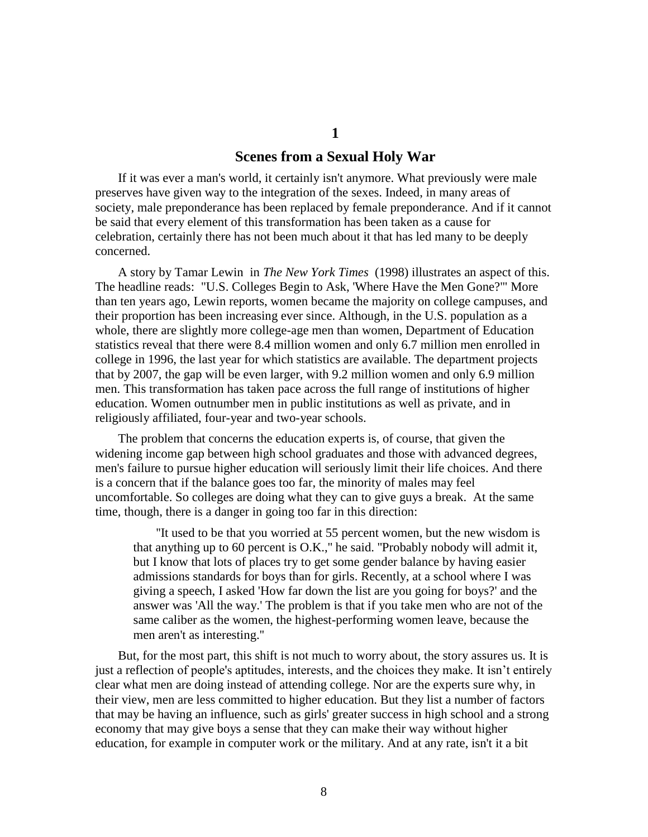# **Scenes from a Sexual Holy War**

**1**

If it was ever a man's world, it certainly isn't anymore. What previously were male preserves have given way to the integration of the sexes. Indeed, in many areas of society, male preponderance has been replaced by female preponderance. And if it cannot be said that every element of this transformation has been taken as a cause for celebration, certainly there has not been much about it that has led many to be deeply concerned.

A story by Tamar Lewin in *The New York Times* (1998) illustrates an aspect of this. The headline reads: "U.S. Colleges Begin to Ask, 'Where Have the Men Gone?'" More than ten years ago, Lewin reports, women became the majority on college campuses, and their proportion has been increasing ever since. Although, in the U.S. population as a whole, there are slightly more college-age men than women, Department of Education statistics reveal that there were 8.4 million women and only 6.7 million men enrolled in college in 1996, the last year for which statistics are available. The department projects that by 2007, the gap will be even larger, with 9.2 million women and only 6.9 million men. This transformation has taken pace across the full range of institutions of higher education. Women outnumber men in public institutions as well as private, and in religiously affiliated, four-year and two-year schools.

The problem that concerns the education experts is, of course, that given the widening income gap between high school graduates and those with advanced degrees, men's failure to pursue higher education will seriously limit their life choices. And there is a concern that if the balance goes too far, the minority of males may feel uncomfortable. So colleges are doing what they can to give guys a break. At the same time, though, there is a danger in going too far in this direction:

''It used to be that you worried at 55 percent women, but the new wisdom is that anything up to 60 percent is O.K.,'' he said. ''Probably nobody will admit it, but I know that lots of places try to get some gender balance by having easier admissions standards for boys than for girls. Recently, at a school where I was giving a speech, I asked 'How far down the list are you going for boys?' and the answer was 'All the way.' The problem is that if you take men who are not of the same caliber as the women, the highest-performing women leave, because the men aren't as interesting.''

But, for the most part, this shift is not much to worry about, the story assures us. It is just a reflection of people's aptitudes, interests, and the choices they make. It isn't entirely clear what men are doing instead of attending college. Nor are the experts sure why, in their view, men are less committed to higher education. But they list a number of factors that may be having an influence, such as girls' greater success in high school and a strong economy that may give boys a sense that they can make their way without higher education, for example in computer work or the military. And at any rate, isn't it a bit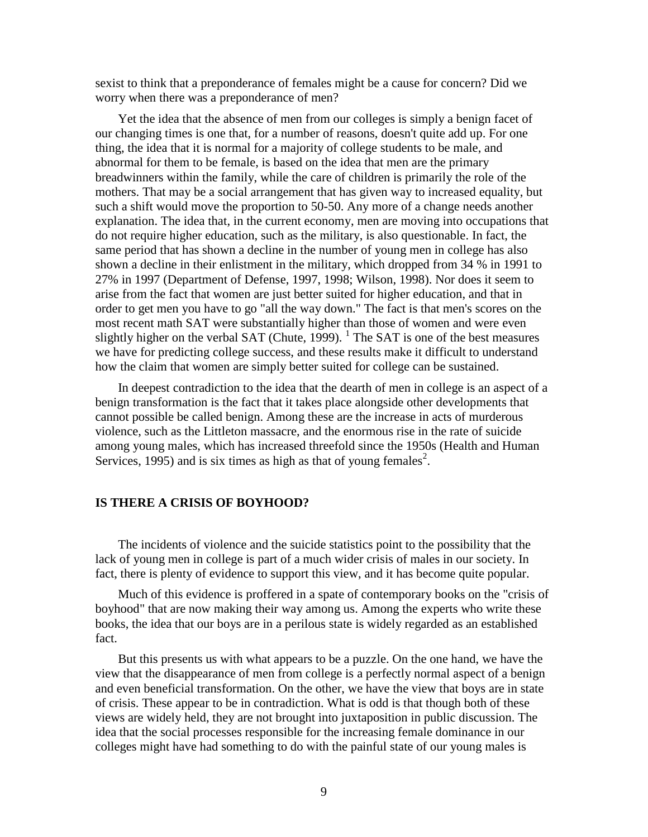sexist to think that a preponderance of females might be a cause for concern? Did we worry when there was a preponderance of men?

Yet the idea that the absence of men from our colleges is simply a benign facet of our changing times is one that, for a number of reasons, doesn't quite add up. For one thing, the idea that it is normal for a majority of college students to be male, and abnormal for them to be female, is based on the idea that men are the primary breadwinners within the family, while the care of children is primarily the role of the mothers. That may be a social arrangement that has given way to increased equality, but such a shift would move the proportion to 50-50. Any more of a change needs another explanation. The idea that, in the current economy, men are moving into occupations that do not require higher education, such as the military, is also questionable. In fact, the same period that has shown a decline in the number of young men in college has also shown a decline in their enlistment in the military, which dropped from 34 % in 1991 to 27% in 1997 (Department of Defense, 1997, 1998; Wilson, 1998). Nor does it seem to arise from the fact that women are just better suited for higher education, and that in order to get men you have to go "all the way down." The fact is that men's scores on the most recent math SAT were substantially higher than those of women and were even slightly higher on the verbal SAT (Chute, 1999).  $\frac{1}{1}$  The SAT is one of the best measures we have for predicting college success, and these results make it difficult to understand how the claim that women are simply better suited for college can be sustained.

In deepest contradiction to the idea that the dearth of men in college is an aspect of a benign transformation is the fact that it takes place alongside other developments that cannot possible be called benign. Among these are the increase in acts of murderous violence, such as the Littleton massacre, and the enormous rise in the rate of suicide among young males, which has increased threefold since the 1950s (Health and Human Services, 1995) and is six times as high as that of young females<sup>2</sup>.

### **IS THERE A CRISIS OF BOYHOOD?**

The incidents of violence and the suicide statistics point to the possibility that the lack of young men in college is part of a much wider crisis of males in our society. In fact, there is plenty of evidence to support this view, and it has become quite popular.

Much of this evidence is proffered in a spate of contemporary books on the "crisis of boyhood" that are now making their way among us. Among the experts who write these books, the idea that our boys are in a perilous state is widely regarded as an established fact.

But this presents us with what appears to be a puzzle. On the one hand, we have the view that the disappearance of men from college is a perfectly normal aspect of a benign and even beneficial transformation. On the other, we have the view that boys are in state of crisis. These appear to be in contradiction. What is odd is that though both of these views are widely held, they are not brought into juxtaposition in public discussion. The idea that the social processes responsible for the increasing female dominance in our colleges might have had something to do with the painful state of our young males is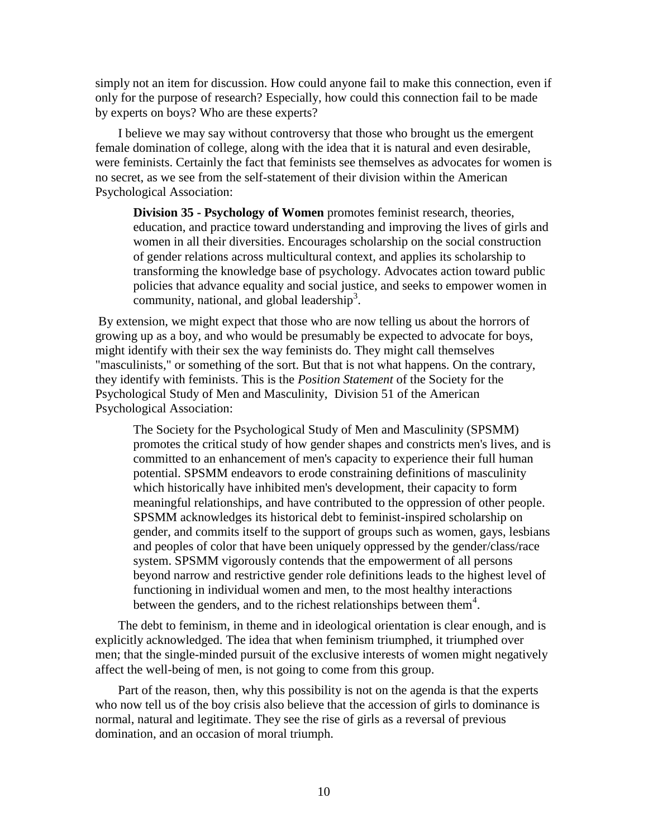simply not an item for discussion. How could anyone fail to make this connection, even if only for the purpose of research? Especially, how could this connection fail to be made by experts on boys? Who are these experts?

I believe we may say without controversy that those who brought us the emergent female domination of college, along with the idea that it is natural and even desirable, were feminists. Certainly the fact that feminists see themselves as advocates for women is no secret, as we see from the self-statement of their division within the American Psychological Association:

**Division 35 - [Psychology of Women](http://www.apa.org/divisions/div35)** promotes feminist research, theories, education, and practice toward understanding and improving the lives of girls and women in all their diversities. Encourages scholarship on the social construction of gender relations across multicultural context, and applies its scholarship to transforming the knowledge base of psychology. Advocates action toward public policies that advance equality and social justice, and seeks to empower women in community, national, and global leadership<sup>3</sup>.

By extension, we might expect that those who are now telling us about the horrors of growing up as a boy, and who would be presumably be expected to advocate for boys, might identify with their sex the way feminists do. They might call themselves "masculinists," or something of the sort. But that is not what happens. On the contrary, they identify with feminists. This is the *Position Statement* of the Society for the Psychological Study of Men and Masculinity, Division 51 of the American Psychological Association:

The Society for the Psychological Study of Men and Masculinity (SPSMM) promotes the critical study of how gender shapes and constricts men's lives, and is committed to an enhancement of men's capacity to experience their full human potential. SPSMM endeavors to erode constraining definitions of masculinity which historically have inhibited men's development, their capacity to form meaningful relationships, and have contributed to the oppression of other people. SPSMM acknowledges its historical debt to feminist-inspired scholarship on gender, and commits itself to the support of groups such as women, gays, lesbians and peoples of color that have been uniquely oppressed by the gender/class/race system. SPSMM vigorously contends that the empowerment of all persons beyond narrow and restrictive gender role definitions leads to the highest level of functioning in individual women and men, to the most healthy interactions between the genders, and to the richest relationships between them<sup>4</sup>.

The debt to feminism, in theme and in ideological orientation is clear enough, and is explicitly acknowledged. The idea that when feminism triumphed, it triumphed over men; that the single-minded pursuit of the exclusive interests of women might negatively affect the well-being of men, is not going to come from this group.

Part of the reason, then, why this possibility is not on the agenda is that the experts who now tell us of the boy crisis also believe that the accession of girls to dominance is normal, natural and legitimate. They see the rise of girls as a reversal of previous domination, and an occasion of moral triumph.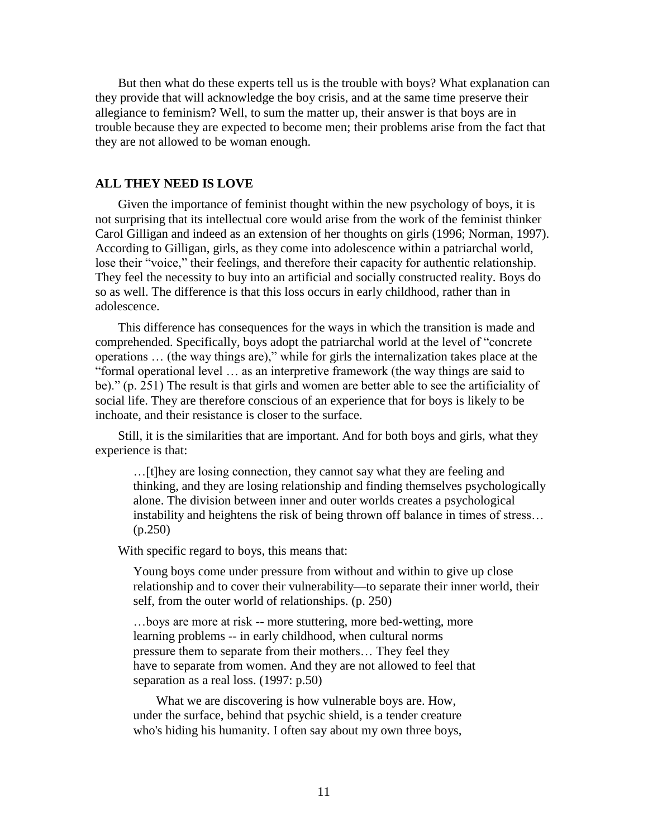But then what do these experts tell us is the trouble with boys? What explanation can they provide that will acknowledge the boy crisis, and at the same time preserve their allegiance to feminism? Well, to sum the matter up, their answer is that boys are in trouble because they are expected to become men; their problems arise from the fact that they are not allowed to be woman enough.

#### **ALL THEY NEED IS LOVE**

Given the importance of feminist thought within the new psychology of boys, it is not surprising that its intellectual core would arise from the work of the feminist thinker Carol Gilligan and indeed as an extension of her thoughts on girls (1996; Norman, 1997). According to Gilligan, girls, as they come into adolescence within a patriarchal world, lose their "voice," their feelings, and therefore their capacity for authentic relationship. They feel the necessity to buy into an artificial and socially constructed reality. Boys do so as well. The difference is that this loss occurs in early childhood, rather than in adolescence.

This difference has consequences for the ways in which the transition is made and comprehended. Specifically, boys adopt the patriarchal world at the level of "concrete operations … (the way things are)," while for girls the internalization takes place at the "formal operational level … as an interpretive framework (the way things are said to be)." (p. 251) The result is that girls and women are better able to see the artificiality of social life. They are therefore conscious of an experience that for boys is likely to be inchoate, and their resistance is closer to the surface.

Still, it is the similarities that are important. And for both boys and girls, what they experience is that:

…[t]hey are losing connection, they cannot say what they are feeling and thinking, and they are losing relationship and finding themselves psychologically alone. The division between inner and outer worlds creates a psychological instability and heightens the risk of being thrown off balance in times of stress… (p.250)

With specific regard to boys, this means that:

Young boys come under pressure from without and within to give up close relationship and to cover their vulnerability—to separate their inner world, their self, from the outer world of relationships. (p. 250)

…boys are more at risk -- more stuttering, more bed-wetting, more learning problems -- in early childhood, when cultural norms pressure them to separate from their mothers… They feel they have to separate from women. And they are not allowed to feel that separation as a real loss. (1997: p.50)

What we are discovering is how vulnerable boys are. How, under the surface, behind that psychic shield, is a tender creature who's hiding his humanity. I often say about my own three boys,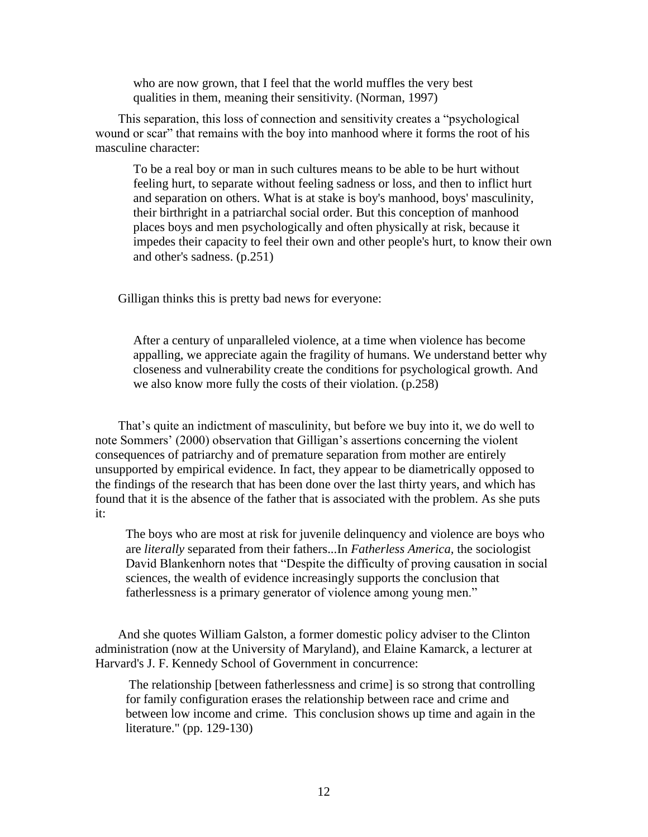who are now grown, that I feel that the world muffles the very best qualities in them, meaning their sensitivity. (Norman, 1997)

This separation, this loss of connection and sensitivity creates a "psychological wound or scar" that remains with the boy into manhood where it forms the root of his masculine character:

To be a real boy or man in such cultures means to be able to be hurt without feeling hurt, to separate without feeling sadness or loss, and then to inflict hurt and separation on others. What is at stake is boy's manhood, boys' masculinity, their birthright in a patriarchal social order. But this conception of manhood places boys and men psychologically and often physically at risk, because it impedes their capacity to feel their own and other people's hurt, to know their own and other's sadness. (p.251)

Gilligan thinks this is pretty bad news for everyone:

After a century of unparalleled violence, at a time when violence has become appalling, we appreciate again the fragility of humans. We understand better why closeness and vulnerability create the conditions for psychological growth. And we also know more fully the costs of their violation. (p.258)

That's quite an indictment of masculinity, but before we buy into it, we do well to note Sommers' (2000) observation that Gilligan's assertions concerning the violent consequences of patriarchy and of premature separation from mother are entirely unsupported by empirical evidence. In fact, they appear to be diametrically opposed to the findings of the research that has been done over the last thirty years, and which has found that it is the absence of the father that is associated with the problem. As she puts it:

The boys who are most at risk for juvenile delinquency and violence are boys who are *literally* separated from their fathers...In *Fatherless America,* the sociologist David Blankenhorn notes that "Despite the difficulty of proving causation in social sciences, the wealth of evidence increasingly supports the conclusion that fatherlessness is a primary generator of violence among young men."

And she quotes William Galston, a former domestic policy adviser to the Clinton administration (now at the University of Maryland), and Elaine Kamarck, a lecturer at Harvard's J. F. Kennedy School of Government in concurrence:

The relationship [between fatherlessness and crime] is so strong that controlling for family configuration erases the relationship between race and crime and between low income and crime. This conclusion shows up time and again in the literature." (pp. 129-130)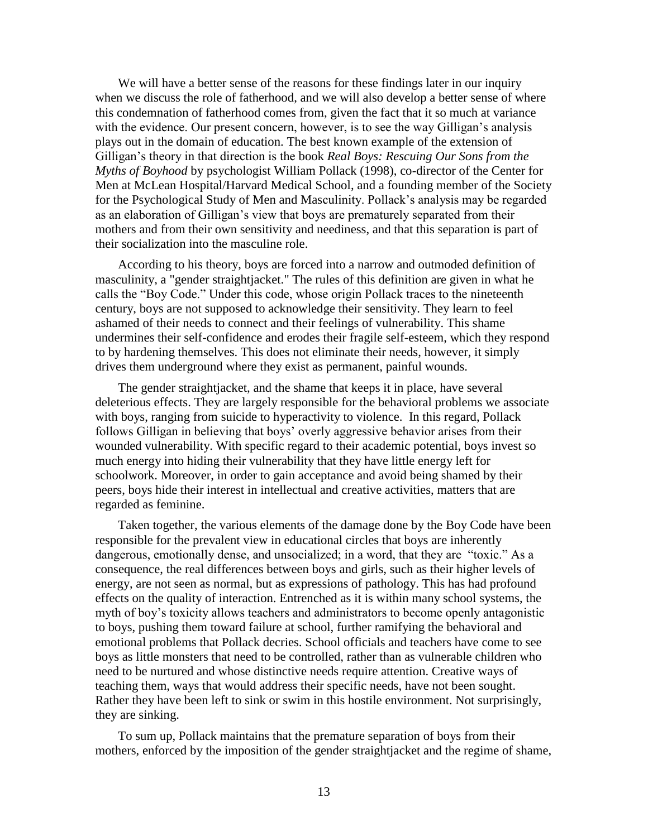We will have a better sense of the reasons for these findings later in our inquiry when we discuss the role of fatherhood, and we will also develop a better sense of where this condemnation of fatherhood comes from, given the fact that it so much at variance with the evidence. Our present concern, however, is to see the way Gilligan's analysis plays out in the domain of education. The best known example of the extension of Gilligan's theory in that direction is the book *Real Boys: Rescuing Our Sons from the Myths of Boyhood* by psychologist William Pollack (1998), co-director of the Center for Men at McLean Hospital/Harvard Medical School, and a founding member of the Society for the Psychological Study of Men and Masculinity. Pollack's analysis may be regarded as an elaboration of Gilligan's view that boys are prematurely separated from their mothers and from their own sensitivity and neediness, and that this separation is part of their socialization into the masculine role.

According to his theory, boys are forced into a narrow and outmoded definition of masculinity, a "gender straightjacket." The rules of this definition are given in what he calls the "Boy Code." Under this code, whose origin Pollack traces to the nineteenth century, boys are not supposed to acknowledge their sensitivity. They learn to feel ashamed of their needs to connect and their feelings of vulnerability. This shame undermines their self-confidence and erodes their fragile self-esteem, which they respond to by hardening themselves. This does not eliminate their needs, however, it simply drives them underground where they exist as permanent, painful wounds.

The gender straightjacket, and the shame that keeps it in place, have several deleterious effects. They are largely responsible for the behavioral problems we associate with boys, ranging from suicide to hyperactivity to violence. In this regard, Pollack follows Gilligan in believing that boys' overly aggressive behavior arises from their wounded vulnerability. With specific regard to their academic potential, boys invest so much energy into hiding their vulnerability that they have little energy left for schoolwork. Moreover, in order to gain acceptance and avoid being shamed by their peers, boys hide their interest in intellectual and creative activities, matters that are regarded as feminine.

Taken together, the various elements of the damage done by the Boy Code have been responsible for the prevalent view in educational circles that boys are inherently dangerous, emotionally dense, and unsocialized; in a word, that they are "toxic." As a consequence, the real differences between boys and girls, such as their higher levels of energy, are not seen as normal, but as expressions of pathology. This has had profound effects on the quality of interaction. Entrenched as it is within many school systems, the myth of boy's toxicity allows teachers and administrators to become openly antagonistic to boys, pushing them toward failure at school, further ramifying the behavioral and emotional problems that Pollack decries. School officials and teachers have come to see boys as little monsters that need to be controlled, rather than as vulnerable children who need to be nurtured and whose distinctive needs require attention. Creative ways of teaching them, ways that would address their specific needs, have not been sought. Rather they have been left to sink or swim in this hostile environment. Not surprisingly, they are sinking.

To sum up, Pollack maintains that the premature separation of boys from their mothers, enforced by the imposition of the gender straightjacket and the regime of shame,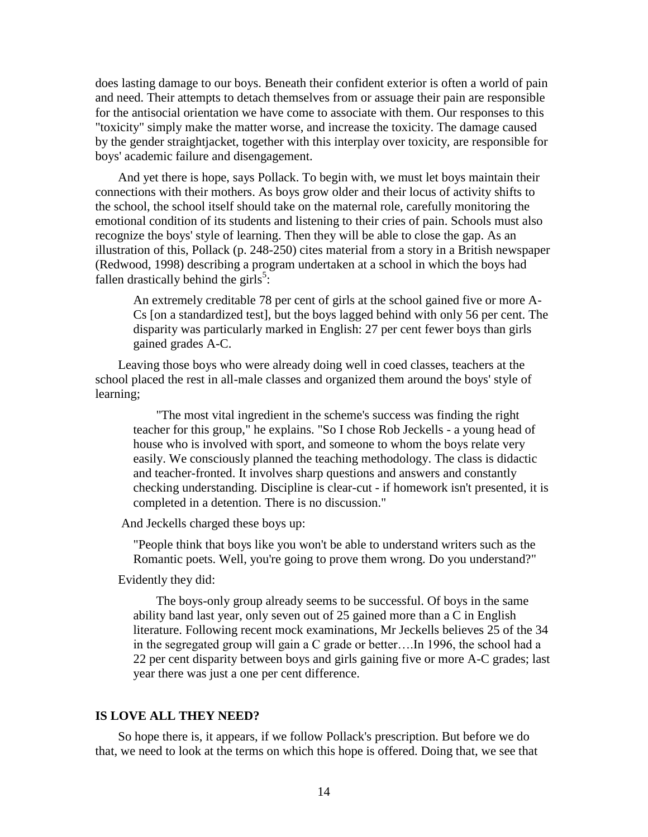does lasting damage to our boys. Beneath their confident exterior is often a world of pain and need. Their attempts to detach themselves from or assuage their pain are responsible for the antisocial orientation we have come to associate with them. Our responses to this "toxicity" simply make the matter worse, and increase the toxicity. The damage caused by the gender straightjacket, together with this interplay over toxicity, are responsible for boys' academic failure and disengagement.

And yet there is hope, says Pollack. To begin with, we must let boys maintain their connections with their mothers. As boys grow older and their locus of activity shifts to the school, the school itself should take on the maternal role, carefully monitoring the emotional condition of its students and listening to their cries of pain. Schools must also recognize the boys' style of learning. Then they will be able to close the gap. As an illustration of this, Pollack (p. 248-250) cites material from a story in a British newspaper (Redwood, 1998) describing a program undertaken at a school in which the boys had fallen drastically behind the girls<sup>5</sup>:

An extremely creditable 78 per cent of girls at the school gained five or more A-Cs [on a standardized test], but the boys lagged behind with only 56 per cent. The disparity was particularly marked in English: 27 per cent fewer boys than girls gained grades A-C.

Leaving those boys who were already doing well in coed classes, teachers at the school placed the rest in all-male classes and organized them around the boys' style of learning;

"The most vital ingredient in the scheme's success was finding the right teacher for this group," he explains. "So I chose Rob Jeckells - a young head of house who is involved with sport, and someone to whom the boys relate very easily. We consciously planned the teaching methodology. The class is didactic and teacher-fronted. It involves sharp questions and answers and constantly checking understanding. Discipline is clear-cut - if homework isn't presented, it is completed in a detention. There is no discussion."

And Jeckells charged these boys up:

"People think that boys like you won't be able to understand writers such as the Romantic poets. Well, you're going to prove them wrong. Do you understand?"

Evidently they did:

The boys-only group already seems to be successful. Of boys in the same ability band last year, only seven out of 25 gained more than a C in English literature. Following recent mock examinations, Mr Jeckells believes 25 of the 34 in the segregated group will gain a C grade or better….In 1996, the school had a 22 per cent disparity between boys and girls gaining five or more A-C grades; last year there was just a one per cent difference.

## **IS LOVE ALL THEY NEED?**

So hope there is, it appears, if we follow Pollack's prescription. But before we do that, we need to look at the terms on which this hope is offered. Doing that, we see that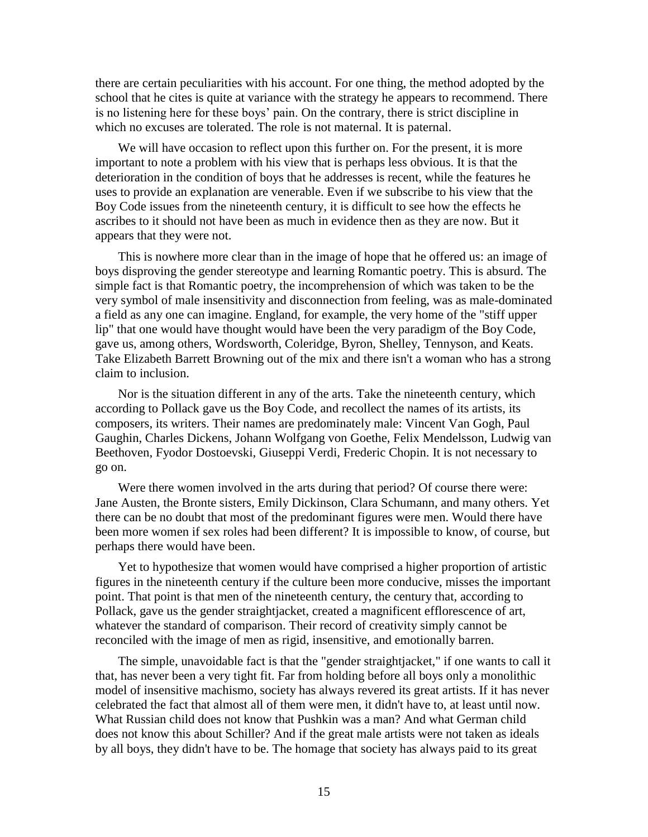there are certain peculiarities with his account. For one thing, the method adopted by the school that he cites is quite at variance with the strategy he appears to recommend. There is no listening here for these boys' pain. On the contrary, there is strict discipline in which no excuses are tolerated. The role is not maternal. It is paternal.

We will have occasion to reflect upon this further on. For the present, it is more important to note a problem with his view that is perhaps less obvious. It is that the deterioration in the condition of boys that he addresses is recent, while the features he uses to provide an explanation are venerable. Even if we subscribe to his view that the Boy Code issues from the nineteenth century, it is difficult to see how the effects he ascribes to it should not have been as much in evidence then as they are now. But it appears that they were not.

This is nowhere more clear than in the image of hope that he offered us: an image of boys disproving the gender stereotype and learning Romantic poetry. This is absurd. The simple fact is that Romantic poetry, the incomprehension of which was taken to be the very symbol of male insensitivity and disconnection from feeling, was as male-dominated a field as any one can imagine. England, for example, the very home of the "stiff upper lip" that one would have thought would have been the very paradigm of the Boy Code, gave us, among others, Wordsworth, Coleridge, Byron, Shelley, Tennyson, and Keats. Take Elizabeth Barrett Browning out of the mix and there isn't a woman who has a strong claim to inclusion.

Nor is the situation different in any of the arts. Take the nineteenth century, which according to Pollack gave us the Boy Code, and recollect the names of its artists, its composers, its writers. Their names are predominately male: Vincent Van Gogh, Paul Gaughin, Charles Dickens, Johann Wolfgang von Goethe, Felix Mendelsson, Ludwig van Beethoven, Fyodor Dostoevski, Giuseppi Verdi, Frederic Chopin. It is not necessary to go on.

Were there women involved in the arts during that period? Of course there were: Jane Austen, the Bronte sisters, Emily Dickinson, Clara Schumann, and many others. Yet there can be no doubt that most of the predominant figures were men. Would there have been more women if sex roles had been different? It is impossible to know, of course, but perhaps there would have been.

Yet to hypothesize that women would have comprised a higher proportion of artistic figures in the nineteenth century if the culture been more conducive, misses the important point. That point is that men of the nineteenth century, the century that, according to Pollack, gave us the gender straightjacket, created a magnificent efflorescence of art, whatever the standard of comparison. Their record of creativity simply cannot be reconciled with the image of men as rigid, insensitive, and emotionally barren.

The simple, unavoidable fact is that the "gender straightjacket," if one wants to call it that, has never been a very tight fit. Far from holding before all boys only a monolithic model of insensitive machismo, society has always revered its great artists. If it has never celebrated the fact that almost all of them were men, it didn't have to, at least until now. What Russian child does not know that Pushkin was a man? And what German child does not know this about Schiller? And if the great male artists were not taken as ideals by all boys, they didn't have to be. The homage that society has always paid to its great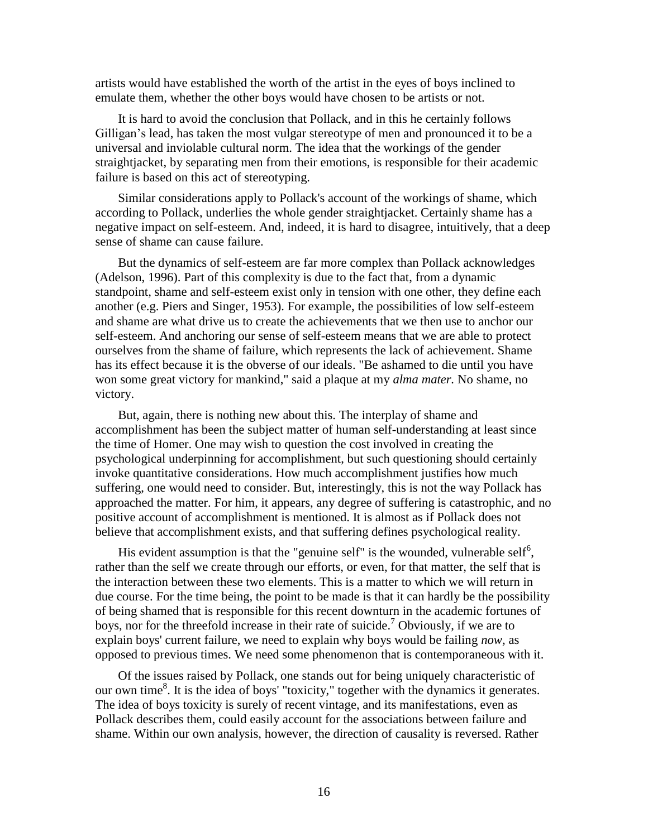artists would have established the worth of the artist in the eyes of boys inclined to emulate them, whether the other boys would have chosen to be artists or not.

It is hard to avoid the conclusion that Pollack, and in this he certainly follows Gilligan's lead, has taken the most vulgar stereotype of men and pronounced it to be a universal and inviolable cultural norm. The idea that the workings of the gender straightjacket, by separating men from their emotions, is responsible for their academic failure is based on this act of stereotyping.

Similar considerations apply to Pollack's account of the workings of shame, which according to Pollack, underlies the whole gender straightjacket. Certainly shame has a negative impact on self-esteem. And, indeed, it is hard to disagree, intuitively, that a deep sense of shame can cause failure.

But the dynamics of self-esteem are far more complex than Pollack acknowledges (Adelson, 1996). Part of this complexity is due to the fact that, from a dynamic standpoint, shame and self-esteem exist only in tension with one other, they define each another (e.g. Piers and Singer, 1953). For example, the possibilities of low self-esteem and shame are what drive us to create the achievements that we then use to anchor our self-esteem. And anchoring our sense of self-esteem means that we are able to protect ourselves from the shame of failure, which represents the lack of achievement. Shame has its effect because it is the obverse of our ideals. "Be ashamed to die until you have won some great victory for mankind," said a plaque at my *alma mater.* No shame, no victory.

But, again, there is nothing new about this. The interplay of shame and accomplishment has been the subject matter of human self-understanding at least since the time of Homer. One may wish to question the cost involved in creating the psychological underpinning for accomplishment, but such questioning should certainly invoke quantitative considerations. How much accomplishment justifies how much suffering, one would need to consider. But, interestingly, this is not the way Pollack has approached the matter. For him, it appears, any degree of suffering is catastrophic, and no positive account of accomplishment is mentioned. It is almost as if Pollack does not believe that accomplishment exists, and that suffering defines psychological reality.

His evident assumption is that the "genuine self" is the wounded, vulnerable self<sup>6</sup>, rather than the self we create through our efforts, or even, for that matter, the self that is the interaction between these two elements. This is a matter to which we will return in due course. For the time being, the point to be made is that it can hardly be the possibility of being shamed that is responsible for this recent downturn in the academic fortunes of boys, nor for the threefold increase in their rate of suicide.<sup>7</sup> Obviously, if we are to explain boys' current failure, we need to explain why boys would be failing *now,* as opposed to previous times. We need some phenomenon that is contemporaneous with it.

Of the issues raised by Pollack, one stands out for being uniquely characteristic of our own time<sup>8</sup>. It is the idea of boys' "toxicity," together with the dynamics it generates. The idea of boys toxicity is surely of recent vintage, and its manifestations, even as Pollack describes them, could easily account for the associations between failure and shame. Within our own analysis, however, the direction of causality is reversed. Rather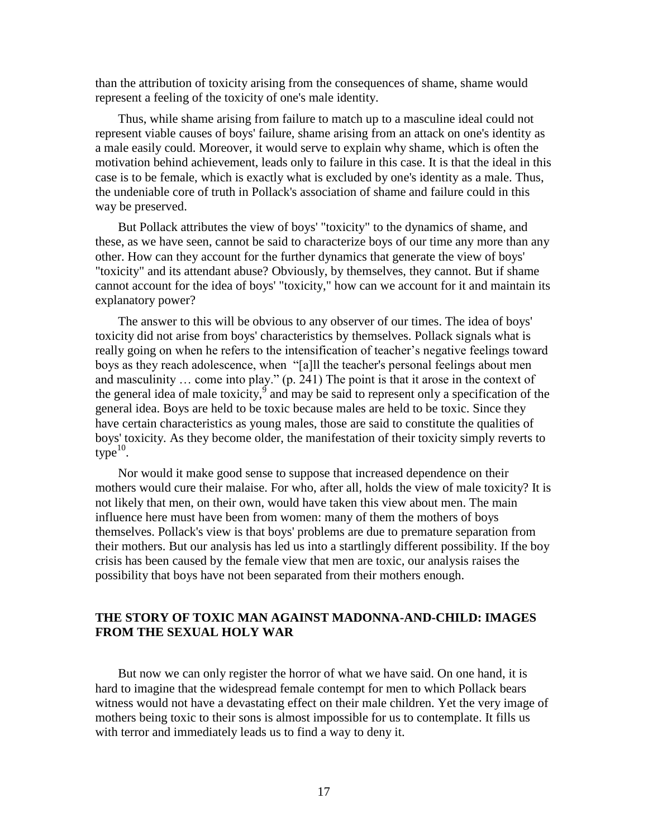than the attribution of toxicity arising from the consequences of shame, shame would represent a feeling of the toxicity of one's male identity.

Thus, while shame arising from failure to match up to a masculine ideal could not represent viable causes of boys' failure, shame arising from an attack on one's identity as a male easily could. Moreover, it would serve to explain why shame, which is often the motivation behind achievement, leads only to failure in this case. It is that the ideal in this case is to be female, which is exactly what is excluded by one's identity as a male. Thus, the undeniable core of truth in Pollack's association of shame and failure could in this way be preserved.

But Pollack attributes the view of boys' "toxicity" to the dynamics of shame, and these, as we have seen, cannot be said to characterize boys of our time any more than any other. How can they account for the further dynamics that generate the view of boys' "toxicity" and its attendant abuse? Obviously, by themselves, they cannot. But if shame cannot account for the idea of boys' "toxicity," how can we account for it and maintain its explanatory power?

The answer to this will be obvious to any observer of our times. The idea of boys' toxicity did not arise from boys' characteristics by themselves. Pollack signals what is really going on when he refers to the intensification of teacher's negative feelings toward boys as they reach adolescence, when "[a]ll the teacher's personal feelings about men and masculinity … come into play." (p. 241) The point is that it arose in the context of the general idea of male toxicity,  $\frac{9}{9}$  and may be said to represent only a specification of the general idea. Boys are held to be toxic because males are held to be toxic. Since they have certain characteristics as young males, those are said to constitute the qualities of boys' toxicity. As they become older, the manifestation of their toxicity simply reverts to  $type^{10}$ .

Nor would it make good sense to suppose that increased dependence on their mothers would cure their malaise. For who, after all, holds the view of male toxicity? It is not likely that men, on their own, would have taken this view about men. The main influence here must have been from women: many of them the mothers of boys themselves. Pollack's view is that boys' problems are due to premature separation from their mothers. But our analysis has led us into a startlingly different possibility. If the boy crisis has been caused by the female view that men are toxic, our analysis raises the possibility that boys have not been separated from their mothers enough.

# **THE STORY OF TOXIC MAN AGAINST MADONNA-AND-CHILD: IMAGES FROM THE SEXUAL HOLY WAR**

But now we can only register the horror of what we have said. On one hand, it is hard to imagine that the widespread female contempt for men to which Pollack bears witness would not have a devastating effect on their male children. Yet the very image of mothers being toxic to their sons is almost impossible for us to contemplate. It fills us with terror and immediately leads us to find a way to deny it.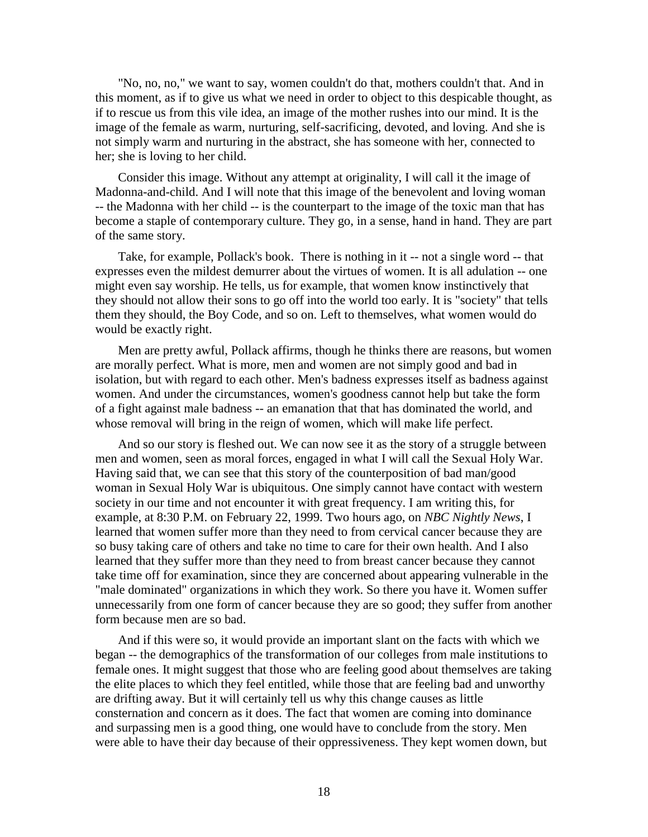"No, no, no," we want to say, women couldn't do that, mothers couldn't that. And in this moment, as if to give us what we need in order to object to this despicable thought, as if to rescue us from this vile idea, an image of the mother rushes into our mind. It is the image of the female as warm, nurturing, self-sacrificing, devoted, and loving. And she is not simply warm and nurturing in the abstract, she has someone with her, connected to her; she is loving to her child.

Consider this image. Without any attempt at originality, I will call it the image of Madonna-and-child. And I will note that this image of the benevolent and loving woman -- the Madonna with her child -- is the counterpart to the image of the toxic man that has become a staple of contemporary culture. They go, in a sense, hand in hand. They are part of the same story.

Take, for example, Pollack's book. There is nothing in it -- not a single word -- that expresses even the mildest demurrer about the virtues of women. It is all adulation -- one might even say worship. He tells, us for example, that women know instinctively that they should not allow their sons to go off into the world too early. It is "society" that tells them they should, the Boy Code, and so on. Left to themselves, what women would do would be exactly right.

Men are pretty awful, Pollack affirms, though he thinks there are reasons, but women are morally perfect. What is more, men and women are not simply good and bad in isolation, but with regard to each other. Men's badness expresses itself as badness against women. And under the circumstances, women's goodness cannot help but take the form of a fight against male badness -- an emanation that that has dominated the world, and whose removal will bring in the reign of women, which will make life perfect.

And so our story is fleshed out. We can now see it as the story of a struggle between men and women, seen as moral forces, engaged in what I will call the Sexual Holy War. Having said that, we can see that this story of the counterposition of bad man/good woman in Sexual Holy War is ubiquitous. One simply cannot have contact with western society in our time and not encounter it with great frequency. I am writing this, for example, at 8:30 P.M. on February 22, 1999. Two hours ago, on *NBC Nightly News*, I learned that women suffer more than they need to from cervical cancer because they are so busy taking care of others and take no time to care for their own health. And I also learned that they suffer more than they need to from breast cancer because they cannot take time off for examination, since they are concerned about appearing vulnerable in the "male dominated" organizations in which they work. So there you have it. Women suffer unnecessarily from one form of cancer because they are so good; they suffer from another form because men are so bad.

And if this were so, it would provide an important slant on the facts with which we began -- the demographics of the transformation of our colleges from male institutions to female ones. It might suggest that those who are feeling good about themselves are taking the elite places to which they feel entitled, while those that are feeling bad and unworthy are drifting away. But it will certainly tell us why this change causes as little consternation and concern as it does. The fact that women are coming into dominance and surpassing men is a good thing, one would have to conclude from the story. Men were able to have their day because of their oppressiveness. They kept women down, but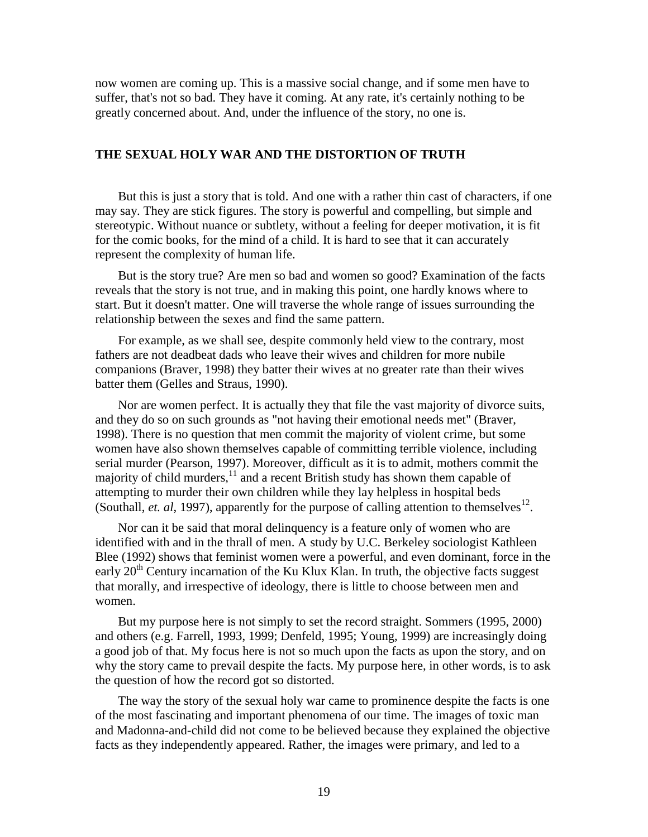now women are coming up. This is a massive social change, and if some men have to suffer, that's not so bad. They have it coming. At any rate, it's certainly nothing to be greatly concerned about. And, under the influence of the story, no one is.

## **THE SEXUAL HOLY WAR AND THE DISTORTION OF TRUTH**

But this is just a story that is told. And one with a rather thin cast of characters, if one may say. They are stick figures. The story is powerful and compelling, but simple and stereotypic. Without nuance or subtlety, without a feeling for deeper motivation, it is fit for the comic books, for the mind of a child. It is hard to see that it can accurately represent the complexity of human life.

But is the story true? Are men so bad and women so good? Examination of the facts reveals that the story is not true, and in making this point, one hardly knows where to start. But it doesn't matter. One will traverse the whole range of issues surrounding the relationship between the sexes and find the same pattern.

For example, as we shall see, despite commonly held view to the contrary, most fathers are not deadbeat dads who leave their wives and children for more nubile companions (Braver, 1998) they batter their wives at no greater rate than their wives batter them (Gelles and Straus, 1990).

Nor are women perfect. It is actually they that file the vast majority of divorce suits, and they do so on such grounds as "not having their emotional needs met" (Braver, 1998). There is no question that men commit the majority of violent crime, but some women have also shown themselves capable of committing terrible violence, including serial murder (Pearson, 1997). Moreover, difficult as it is to admit, mothers commit the majority of child murders, $11$  and a recent British study has shown them capable of attempting to murder their own children while they lay helpless in hospital beds (Southall, *et. al*, 1997), apparently for the purpose of calling attention to themselves<sup>12</sup>.

Nor can it be said that moral delinquency is a feature only of women who are identified with and in the thrall of men. A study by U.C. Berkeley sociologist Kathleen Blee (1992) shows that feminist women were a powerful, and even dominant, force in the early  $20<sup>th</sup>$  Century incarnation of the Ku Klux Klan. In truth, the objective facts suggest that morally, and irrespective of ideology, there is little to choose between men and women.

But my purpose here is not simply to set the record straight. Sommers (1995, 2000) and others (e.g. Farrell, 1993, 1999; Denfeld, 1995; Young, 1999) are increasingly doing a good job of that. My focus here is not so much upon the facts as upon the story, and on why the story came to prevail despite the facts. My purpose here, in other words, is to ask the question of how the record got so distorted.

The way the story of the sexual holy war came to prominence despite the facts is one of the most fascinating and important phenomena of our time. The images of toxic man and Madonna-and-child did not come to be believed because they explained the objective facts as they independently appeared. Rather, the images were primary, and led to a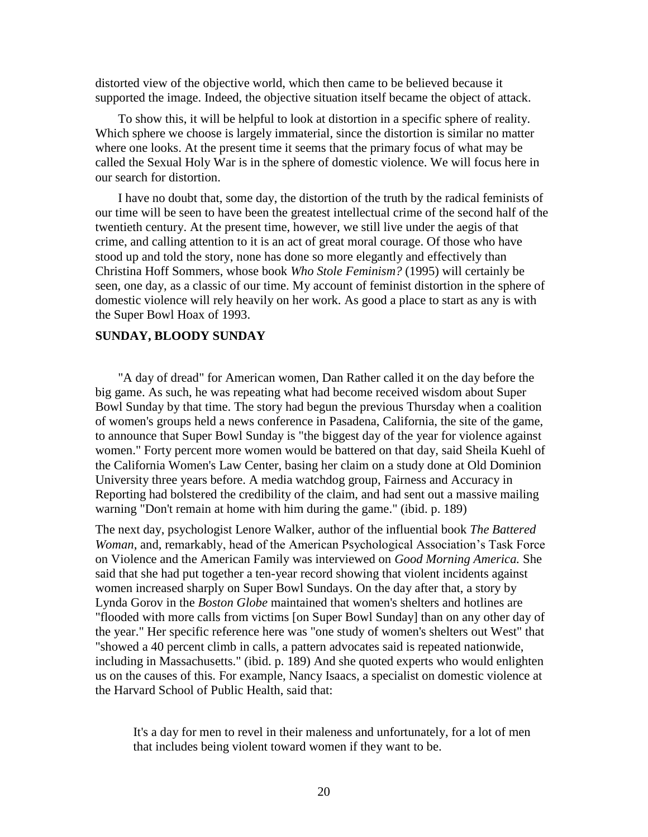distorted view of the objective world, which then came to be believed because it supported the image. Indeed, the objective situation itself became the object of attack.

To show this, it will be helpful to look at distortion in a specific sphere of reality. Which sphere we choose is largely immaterial, since the distortion is similar no matter where one looks. At the present time it seems that the primary focus of what may be called the Sexual Holy War is in the sphere of domestic violence. We will focus here in our search for distortion.

I have no doubt that, some day, the distortion of the truth by the radical feminists of our time will be seen to have been the greatest intellectual crime of the second half of the twentieth century. At the present time, however, we still live under the aegis of that crime, and calling attention to it is an act of great moral courage. Of those who have stood up and told the story, none has done so more elegantly and effectively than Christina Hoff Sommers, whose book *Who Stole Feminism?* (1995) will certainly be seen, one day, as a classic of our time. My account of feminist distortion in the sphere of domestic violence will rely heavily on her work. As good a place to start as any is with the Super Bowl Hoax of 1993.

### **SUNDAY, BLOODY SUNDAY**

"A day of dread" for American women, Dan Rather called it on the day before the big game. As such, he was repeating what had become received wisdom about Super Bowl Sunday by that time. The story had begun the previous Thursday when a coalition of women's groups held a news conference in Pasadena, California, the site of the game, to announce that Super Bowl Sunday is "the biggest day of the year for violence against women." Forty percent more women would be battered on that day, said Sheila Kuehl of the California Women's Law Center, basing her claim on a study done at Old Dominion University three years before. A media watchdog group, Fairness and Accuracy in Reporting had bolstered the credibility of the claim, and had sent out a massive mailing warning "Don't remain at home with him during the game." (ibid. p. 189)

The next day, psychologist Lenore Walker, author of the influential book *The Battered Woman*, and, remarkably, head of the American Psychological Association's Task Force on Violence and the American Family was interviewed on *Good Morning America.* She said that she had put together a ten-year record showing that violent incidents against women increased sharply on Super Bowl Sundays. On the day after that, a story by Lynda Gorov in the *Boston Globe* maintained that women's shelters and hotlines are "flooded with more calls from victims [on Super Bowl Sunday] than on any other day of the year." Her specific reference here was "one study of women's shelters out West" that "showed a 40 percent climb in calls, a pattern advocates said is repeated nationwide, including in Massachusetts." (ibid. p. 189) And she quoted experts who would enlighten us on the causes of this. For example, Nancy Isaacs, a specialist on domestic violence at the Harvard School of Public Health, said that:

It's a day for men to revel in their maleness and unfortunately, for a lot of men that includes being violent toward women if they want to be.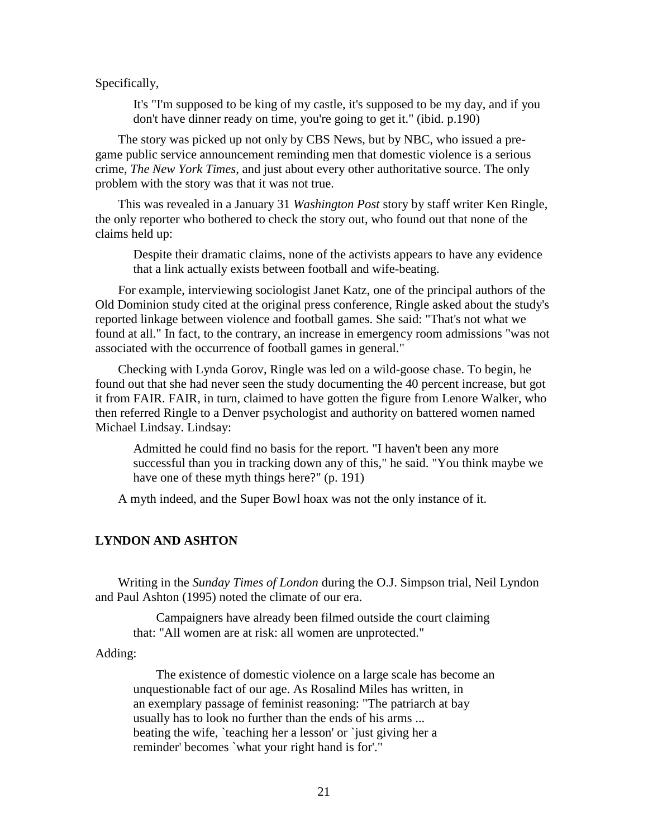Specifically,

It's "I'm supposed to be king of my castle, it's supposed to be my day, and if you don't have dinner ready on time, you're going to get it." (ibid. p.190)

The story was picked up not only by CBS News, but by NBC, who issued a pregame public service announcement reminding men that domestic violence is a serious crime, *The New York Times*, and just about every other authoritative source. The only problem with the story was that it was not true.

This was revealed in a January 31 *Washington Post* story by staff writer Ken Ringle, the only reporter who bothered to check the story out, who found out that none of the claims held up:

Despite their dramatic claims, none of the activists appears to have any evidence that a link actually exists between football and wife-beating.

For example, interviewing sociologist Janet Katz, one of the principal authors of the Old Dominion study cited at the original press conference, Ringle asked about the study's reported linkage between violence and football games. She said: "That's not what we found at all." In fact, to the contrary, an increase in emergency room admissions "was not associated with the occurrence of football games in general."

Checking with Lynda Gorov, Ringle was led on a wild-goose chase. To begin, he found out that she had never seen the study documenting the 40 percent increase, but got it from FAIR. FAIR, in turn, claimed to have gotten the figure from Lenore Walker, who then referred Ringle to a Denver psychologist and authority on battered women named Michael Lindsay. Lindsay:

Admitted he could find no basis for the report. "I haven't been any more successful than you in tracking down any of this," he said. "You think maybe we have one of these myth things here?" (p. 191)

A myth indeed, and the Super Bowl hoax was not the only instance of it.

# **LYNDON AND ASHTON**

Writing in the *Sunday Times of London* during the O.J. Simpson trial, Neil Lyndon and Paul Ashton (1995) noted the climate of our era.

Campaigners have already been filmed outside the court claiming that: "All women are at risk: all women are unprotected."

Adding:

The existence of domestic violence on a large scale has become an unquestionable fact of our age. As Rosalind Miles has written, in an exemplary passage of feminist reasoning: "The patriarch at bay usually has to look no further than the ends of his arms ... beating the wife, `teaching her a lesson' or `just giving her a reminder' becomes `what your right hand is for'."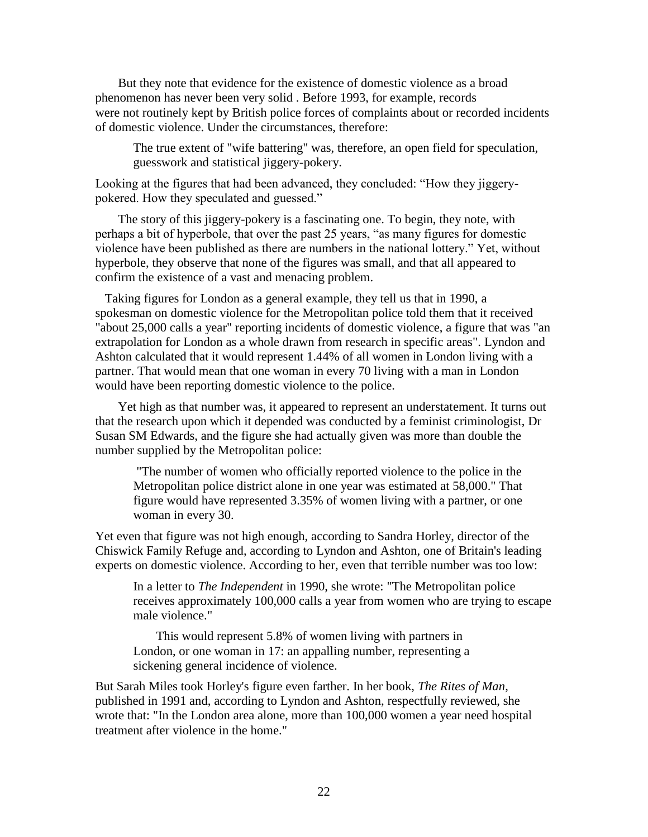But they note that evidence for the existence of domestic violence as a broad phenomenon has never been very solid . Before 1993, for example, records were not routinely kept by British police forces of complaints about or recorded incidents of domestic violence. Under the circumstances, therefore:

The true extent of "wife battering" was, therefore, an open field for speculation, guesswork and statistical jiggery-pokery.

Looking at the figures that had been advanced, they concluded: "How they jiggerypokered. How they speculated and guessed."

The story of this jiggery-pokery is a fascinating one. To begin, they note, with perhaps a bit of hyperbole, that over the past 25 years, "as many figures for domestic violence have been published as there are numbers in the national lottery." Yet, without hyperbole, they observe that none of the figures was small, and that all appeared to confirm the existence of a vast and menacing problem.

 Taking figures for London as a general example, they tell us that in 1990, a spokesman on domestic violence for the Metropolitan police told them that it received "about 25,000 calls a year" reporting incidents of domestic violence, a figure that was "an extrapolation for London as a whole drawn from research in specific areas". Lyndon and Ashton calculated that it would represent 1.44% of all women in London living with a partner. That would mean that one woman in every 70 living with a man in London would have been reporting domestic violence to the police.

Yet high as that number was, it appeared to represent an understatement. It turns out that the research upon which it depended was conducted by a feminist criminologist, Dr Susan SM Edwards, and the figure she had actually given was more than double the number supplied by the Metropolitan police:

"The number of women who officially reported violence to the police in the Metropolitan police district alone in one year was estimated at 58,000." That figure would have represented 3.35% of women living with a partner, or one woman in every 30.

Yet even that figure was not high enough, according to Sandra Horley, director of the Chiswick Family Refuge and, according to Lyndon and Ashton, one of Britain's leading experts on domestic violence. According to her, even that terrible number was too low:

In a letter to *The Independent* in 1990, she wrote: "The Metropolitan police receives approximately 100,000 calls a year from women who are trying to escape male violence."

This would represent 5.8% of women living with partners in London, or one woman in 17: an appalling number, representing a sickening general incidence of violence.

But Sarah Miles took Horley's figure even farther. In her book, *The Rites of Man*, published in 1991 and, according to Lyndon and Ashton, respectfully reviewed, she wrote that: "In the London area alone, more than 100,000 women a year need hospital treatment after violence in the home."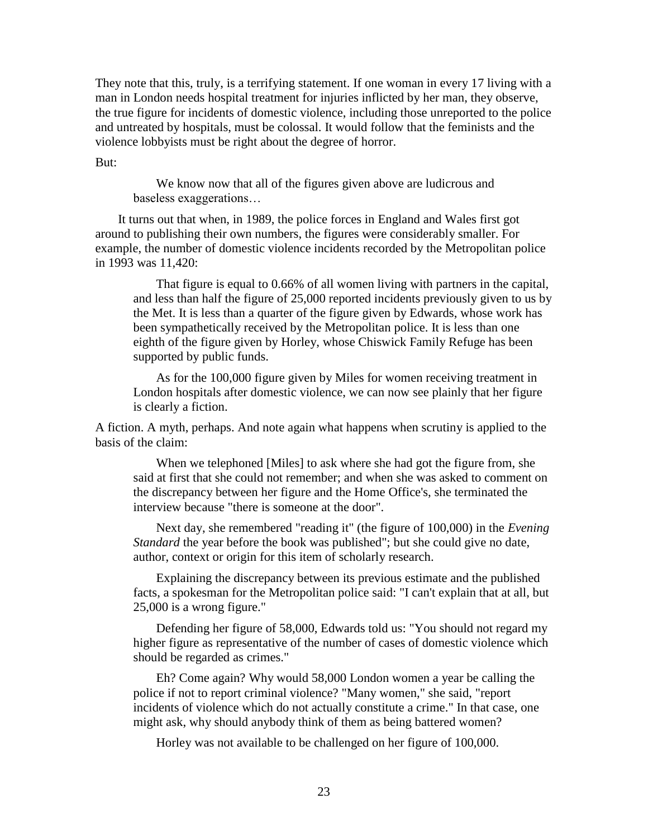They note that this, truly, is a terrifying statement. If one woman in every 17 living with a man in London needs hospital treatment for injuries inflicted by her man, they observe, the true figure for incidents of domestic violence, including those unreported to the police and untreated by hospitals, must be colossal. It would follow that the feminists and the violence lobbyists must be right about the degree of horror.

But:

We know now that all of the figures given above are ludicrous and baseless exaggerations…

It turns out that when, in 1989, the police forces in England and Wales first got around to publishing their own numbers, the figures were considerably smaller. For example, the number of domestic violence incidents recorded by the Metropolitan police in 1993 was 11,420:

That figure is equal to 0.66% of all women living with partners in the capital, and less than half the figure of 25,000 reported incidents previously given to us by the Met. It is less than a quarter of the figure given by Edwards, whose work has been sympathetically received by the Metropolitan police. It is less than one eighth of the figure given by Horley, whose Chiswick Family Refuge has been supported by public funds.

As for the 100,000 figure given by Miles for women receiving treatment in London hospitals after domestic violence, we can now see plainly that her figure is clearly a fiction.

A fiction. A myth, perhaps. And note again what happens when scrutiny is applied to the basis of the claim:

When we telephoned [Miles] to ask where she had got the figure from, she said at first that she could not remember; and when she was asked to comment on the discrepancy between her figure and the Home Office's, she terminated the interview because "there is someone at the door".

Next day, she remembered "reading it" (the figure of 100,000) in the *Evening Standard* the year before the book was published"; but she could give no date, author, context or origin for this item of scholarly research.

Explaining the discrepancy between its previous estimate and the published facts, a spokesman for the Metropolitan police said: "I can't explain that at all, but 25,000 is a wrong figure."

Defending her figure of 58,000, Edwards told us: "You should not regard my higher figure as representative of the number of cases of domestic violence which should be regarded as crimes."

Eh? Come again? Why would 58,000 London women a year be calling the police if not to report criminal violence? "Many women," she said, "report incidents of violence which do not actually constitute a crime." In that case, one might ask, why should anybody think of them as being battered women?

Horley was not available to be challenged on her figure of 100,000.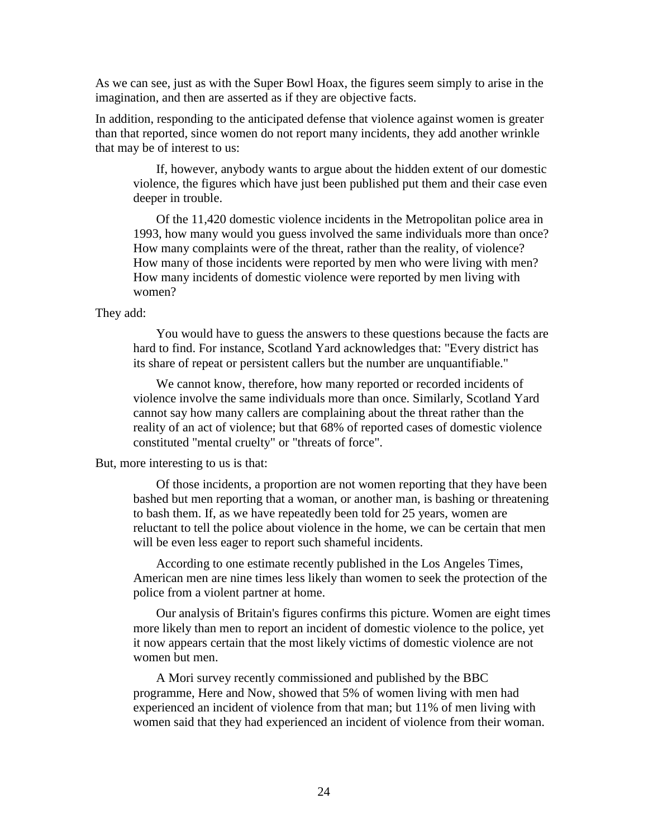As we can see, just as with the Super Bowl Hoax, the figures seem simply to arise in the imagination, and then are asserted as if they are objective facts.

In addition, responding to the anticipated defense that violence against women is greater than that reported, since women do not report many incidents, they add another wrinkle that may be of interest to us:

If, however, anybody wants to argue about the hidden extent of our domestic violence, the figures which have just been published put them and their case even deeper in trouble.

Of the 11,420 domestic violence incidents in the Metropolitan police area in 1993, how many would you guess involved the same individuals more than once? How many complaints were of the threat, rather than the reality, of violence? How many of those incidents were reported by men who were living with men? How many incidents of domestic violence were reported by men living with women?

## They add:

You would have to guess the answers to these questions because the facts are hard to find. For instance, Scotland Yard acknowledges that: "Every district has its share of repeat or persistent callers but the number are unquantifiable."

We cannot know, therefore, how many reported or recorded incidents of violence involve the same individuals more than once. Similarly, Scotland Yard cannot say how many callers are complaining about the threat rather than the reality of an act of violence; but that 68% of reported cases of domestic violence constituted "mental cruelty" or "threats of force".

#### But, more interesting to us is that:

Of those incidents, a proportion are not women reporting that they have been bashed but men reporting that a woman, or another man, is bashing or threatening to bash them. If, as we have repeatedly been told for 25 years, women are reluctant to tell the police about violence in the home, we can be certain that men will be even less eager to report such shameful incidents.

According to one estimate recently published in the Los Angeles Times, American men are nine times less likely than women to seek the protection of the police from a violent partner at home.

Our analysis of Britain's figures confirms this picture. Women are eight times more likely than men to report an incident of domestic violence to the police, yet it now appears certain that the most likely victims of domestic violence are not women but men.

A Mori survey recently commissioned and published by the BBC programme, Here and Now, showed that 5% of women living with men had experienced an incident of violence from that man; but 11% of men living with women said that they had experienced an incident of violence from their woman.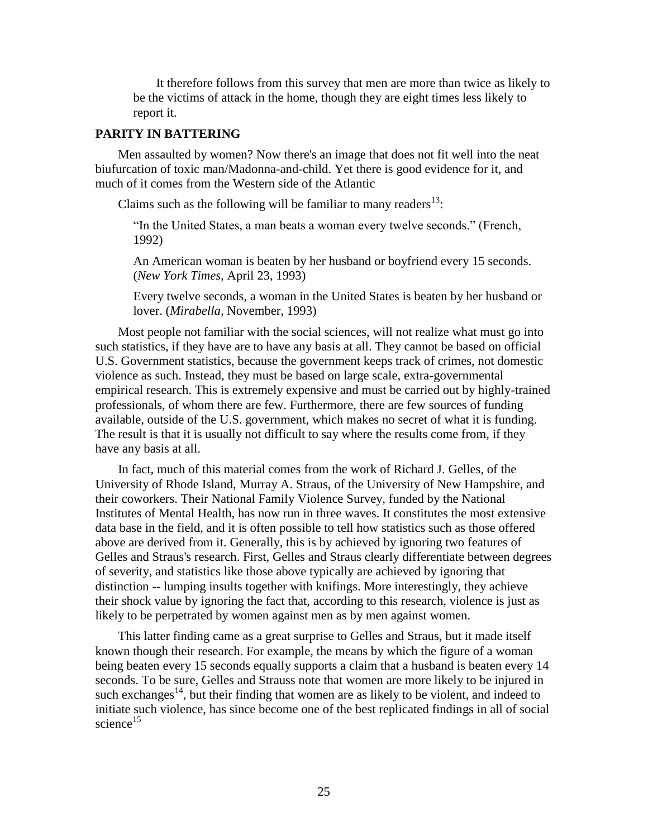It therefore follows from this survey that men are more than twice as likely to be the victims of attack in the home, though they are eight times less likely to report it.

# **PARITY IN BATTERING**

Men assaulted by women? Now there's an image that does not fit well into the neat biufurcation of toxic man/Madonna-and-child. Yet there is good evidence for it, and much of it comes from the Western side of the Atlantic

Claims such as the following will be familiar to many readers $^{13}$ :

"In the United States, a man beats a woman every twelve seconds." (French, 1992)

An American woman is beaten by her husband or boyfriend every 15 seconds. (*New York Times,* April 23, 1993)

Every twelve seconds, a woman in the United States is beaten by her husband or lover. (*Mirabella,* November, 1993)

Most people not familiar with the social sciences, will not realize what must go into such statistics, if they have are to have any basis at all. They cannot be based on official U.S. Government statistics, because the government keeps track of crimes, not domestic violence as such. Instead, they must be based on large scale, extra-governmental empirical research. This is extremely expensive and must be carried out by highly-trained professionals, of whom there are few. Furthermore, there are few sources of funding available, outside of the U.S. government, which makes no secret of what it is funding. The result is that it is usually not difficult to say where the results come from, if they have any basis at all.

In fact, much of this material comes from the work of Richard J. Gelles, of the University of Rhode Island, Murray A. Straus, of the University of New Hampshire, and their coworkers. Their National Family Violence Survey, funded by the National Institutes of Mental Health, has now run in three waves. It constitutes the most extensive data base in the field, and it is often possible to tell how statistics such as those offered above are derived from it. Generally, this is by achieved by ignoring two features of Gelles and Straus's research. First, Gelles and Straus clearly differentiate between degrees of severity, and statistics like those above typically are achieved by ignoring that distinction -- lumping insults together with knifings. More interestingly, they achieve their shock value by ignoring the fact that, according to this research, violence is just as likely to be perpetrated by women against men as by men against women.

This latter finding came as a great surprise to Gelles and Straus, but it made itself known though their research. For example, the means by which the figure of a woman being beaten every 15 seconds equally supports a claim that a husband is beaten every 14 seconds. To be sure, Gelles and Strauss note that women are more likely to be injured in such exchanges<sup>14</sup>, but their finding that women are as likely to be violent, and indeed to initiate such violence, has since become one of the best replicated findings in all of social science $^{15}$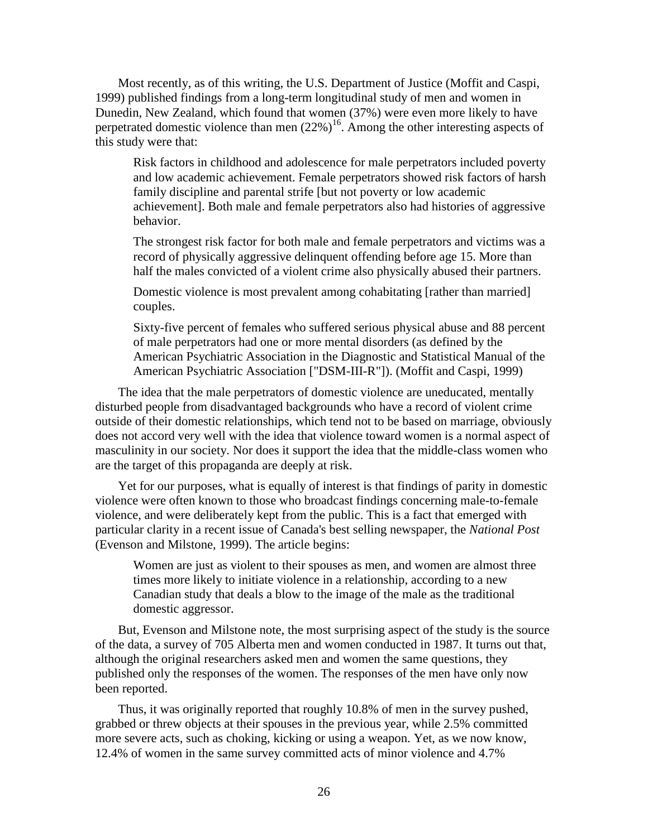Most recently, as of this writing, the U.S. Department of Justice (Moffit and Caspi, 1999) published findings from a long-term longitudinal study of men and women in Dunedin, New Zealand, which found that women (37%) were even more likely to have perpetrated domestic violence than men  $(22\%)^{16}$ . Among the other interesting aspects of this study were that:

Risk factors in childhood and adolescence for male perpetrators included poverty and low academic achievement. Female perpetrators showed risk factors of harsh family discipline and parental strife [but not poverty or low academic achievement]. Both male and female perpetrators also had histories of aggressive behavior.

The strongest risk factor for both male and female perpetrators and victims was a record of physically aggressive delinquent offending before age 15. More than half the males convicted of a violent crime also physically abused their partners.

Domestic violence is most prevalent among cohabitating [rather than married] couples.

Sixty-five percent of females who suffered serious physical abuse and 88 percent of male perpetrators had one or more mental disorders (as defined by the American Psychiatric Association in the Diagnostic and Statistical Manual of the American Psychiatric Association ["DSM-III-R"]). (Moffit and Caspi, 1999)

The idea that the male perpetrators of domestic violence are uneducated, mentally disturbed people from disadvantaged backgrounds who have a record of violent crime outside of their domestic relationships, which tend not to be based on marriage, obviously does not accord very well with the idea that violence toward women is a normal aspect of masculinity in our society. Nor does it support the idea that the middle-class women who are the target of this propaganda are deeply at risk.

Yet for our purposes, what is equally of interest is that findings of parity in domestic violence were often known to those who broadcast findings concerning male-to-female violence, and were deliberately kept from the public. This is a fact that emerged with particular clarity in a recent issue of Canada's best selling newspaper, the *National Post* (Evenson and Milstone, 1999). The article begins:

Women are just as violent to their spouses as men, and women are almost three times more likely to initiate violence in a relationship, according to a new Canadian study that deals a blow to the image of the male as the traditional domestic aggressor.

But, Evenson and Milstone note, the most surprising aspect of the study is the source of the data, a survey of 705 Alberta men and women conducted in 1987. It turns out that, although the original researchers asked men and women the same questions, they published only the responses of the women. The responses of the men have only now been reported.

Thus, it was originally reported that roughly 10.8% of men in the survey pushed, grabbed or threw objects at their spouses in the previous year, while 2.5% committed more severe acts, such as choking, kicking or using a weapon. Yet, as we now know, 12.4% of women in the same survey committed acts of minor violence and 4.7%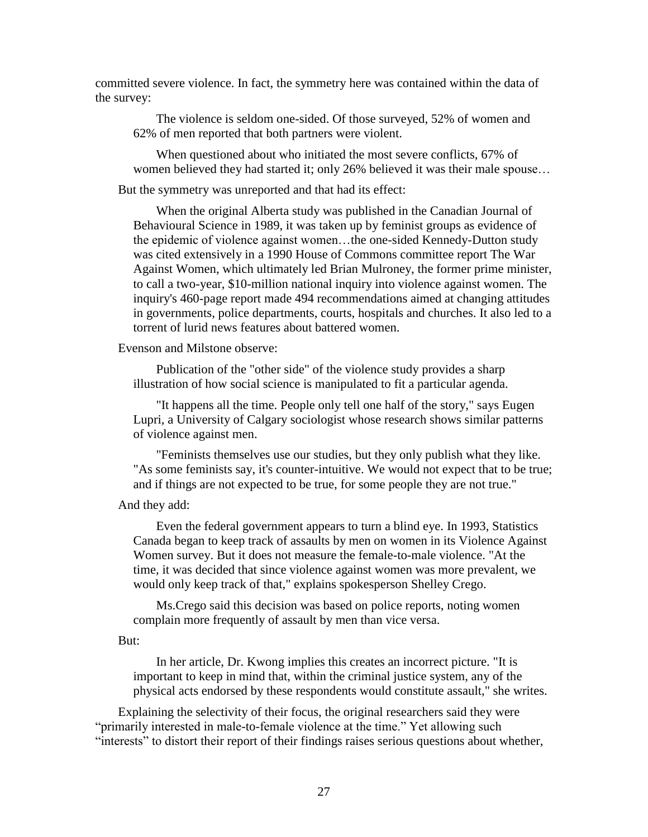committed severe violence. In fact, the symmetry here was contained within the data of the survey:

The violence is seldom one-sided. Of those surveyed, 52% of women and 62% of men reported that both partners were violent.

When questioned about who initiated the most severe conflicts, 67% of women believed they had started it; only 26% believed it was their male spouse...

But the symmetry was unreported and that had its effect:

When the original Alberta study was published in the Canadian Journal of Behavioural Science in 1989, it was taken up by feminist groups as evidence of the epidemic of violence against women…the one-sided Kennedy-Dutton study was cited extensively in a 1990 House of Commons committee report The War Against Women, which ultimately led Brian Mulroney, the former prime minister, to call a two-year, \$10-million national inquiry into violence against women. The inquiry's 460-page report made 494 recommendations aimed at changing attitudes in governments, police departments, courts, hospitals and churches. It also led to a torrent of lurid news features about battered women.

Evenson and Milstone observe:

Publication of the "other side" of the violence study provides a sharp illustration of how social science is manipulated to fit a particular agenda.

"It happens all the time. People only tell one half of the story," says Eugen Lupri, a University of Calgary sociologist whose research shows similar patterns of violence against men.

"Feminists themselves use our studies, but they only publish what they like. "As some feminists say, it's counter-intuitive. We would not expect that to be true; and if things are not expected to be true, for some people they are not true."

And they add:

Even the federal government appears to turn a blind eye. In 1993, Statistics Canada began to keep track of assaults by men on women in its Violence Against Women survey. But it does not measure the female-to-male violence. "At the time, it was decided that since violence against women was more prevalent, we would only keep track of that," explains spokesperson Shelley Crego.

Ms.Crego said this decision was based on police reports, noting women complain more frequently of assault by men than vice versa.

#### But:

In her article, Dr. Kwong implies this creates an incorrect picture. "It is important to keep in mind that, within the criminal justice system, any of the physical acts endorsed by these respondents would constitute assault," she writes.

Explaining the selectivity of their focus, the original researchers said they were "primarily interested in male-to-female violence at the time." Yet allowing such "interests" to distort their report of their findings raises serious questions about whether,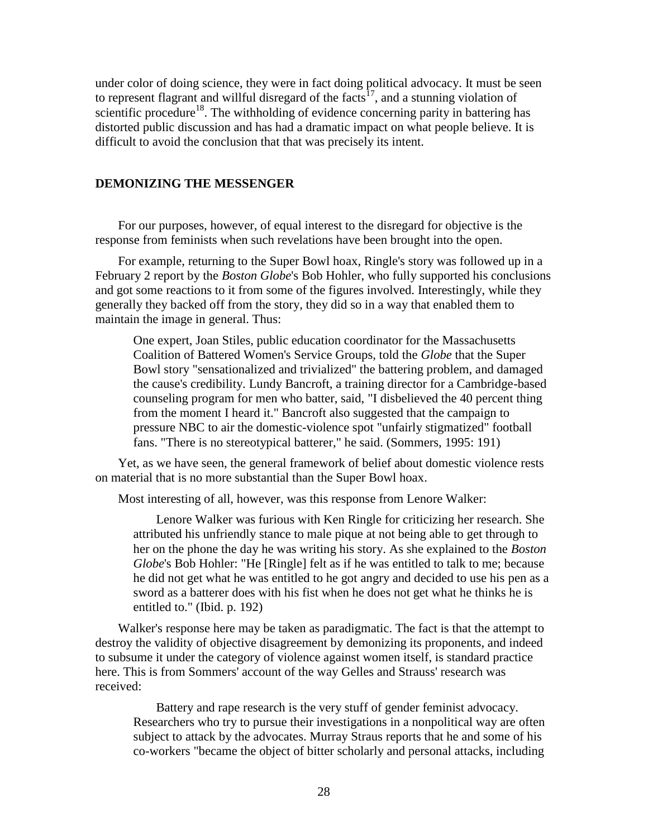under color of doing science, they were in fact doing political advocacy. It must be seen to represent flagrant and willful disregard of the facts<sup>17</sup>, and a stunning violation of scientific procedure<sup>18</sup>. The withholding of evidence concerning parity in battering has distorted public discussion and has had a dramatic impact on what people believe. It is difficult to avoid the conclusion that that was precisely its intent.

## **DEMONIZING THE MESSENGER**

For our purposes, however, of equal interest to the disregard for objective is the response from feminists when such revelations have been brought into the open.

For example, returning to the Super Bowl hoax, Ringle's story was followed up in a February 2 report by the *Boston Globe*'s Bob Hohler, who fully supported his conclusions and got some reactions to it from some of the figures involved. Interestingly, while they generally they backed off from the story, they did so in a way that enabled them to maintain the image in general. Thus:

One expert, Joan Stiles, public education coordinator for the Massachusetts Coalition of Battered Women's Service Groups, told the *Globe* that the Super Bowl story "sensationalized and trivialized" the battering problem, and damaged the cause's credibility. Lundy Bancroft, a training director for a Cambridge-based counseling program for men who batter, said, "I disbelieved the 40 percent thing from the moment I heard it." Bancroft also suggested that the campaign to pressure NBC to air the domestic-violence spot "unfairly stigmatized" football fans. "There is no stereotypical batterer," he said. (Sommers, 1995: 191)

Yet, as we have seen, the general framework of belief about domestic violence rests on material that is no more substantial than the Super Bowl hoax.

Most interesting of all, however, was this response from Lenore Walker:

Lenore Walker was furious with Ken Ringle for criticizing her research. She attributed his unfriendly stance to male pique at not being able to get through to her on the phone the day he was writing his story. As she explained to the *Boston Globe*'s Bob Hohler: "He [Ringle] felt as if he was entitled to talk to me; because he did not get what he was entitled to he got angry and decided to use his pen as a sword as a batterer does with his fist when he does not get what he thinks he is entitled to." (Ibid. p. 192)

Walker's response here may be taken as paradigmatic. The fact is that the attempt to destroy the validity of objective disagreement by demonizing its proponents, and indeed to subsume it under the category of violence against women itself, is standard practice here. This is from Sommers' account of the way Gelles and Strauss' research was received:

Battery and rape research is the very stuff of gender feminist advocacy. Researchers who try to pursue their investigations in a nonpolitical way are often subject to attack by the advocates. Murray Straus reports that he and some of his co-workers "became the object of bitter scholarly and personal attacks, including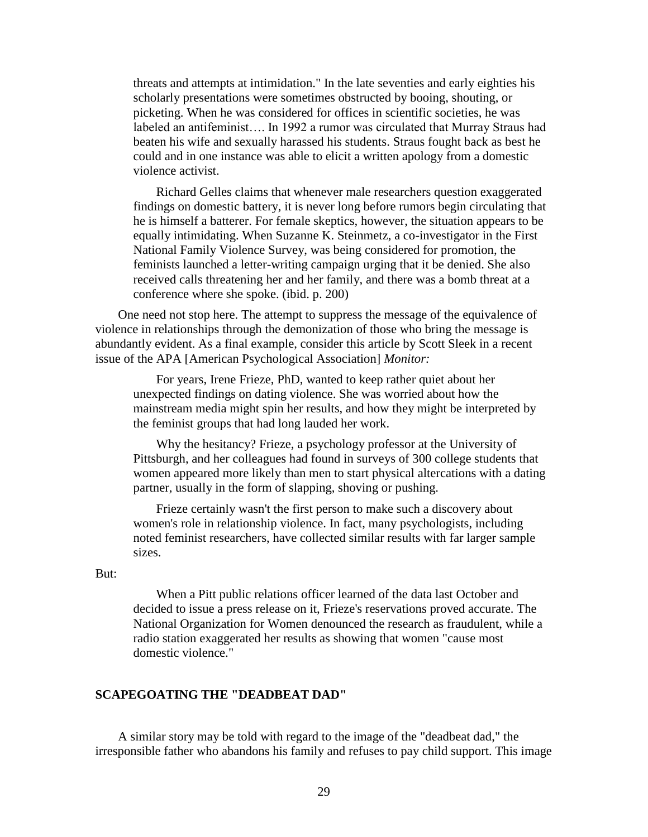threats and attempts at intimidation." In the late seventies and early eighties his scholarly presentations were sometimes obstructed by booing, shouting, or picketing. When he was considered for offices in scientific societies, he was labeled an antifeminist…. In 1992 a rumor was circulated that Murray Straus had beaten his wife and sexually harassed his students. Straus fought back as best he could and in one instance was able to elicit a written apology from a domestic violence activist.

Richard Gelles claims that whenever male researchers question exaggerated findings on domestic battery, it is never long before rumors begin circulating that he is himself a batterer. For female skeptics, however, the situation appears to be equally intimidating. When Suzanne K. Steinmetz, a co-investigator in the First National Family Violence Survey, was being considered for promotion, the feminists launched a letter-writing campaign urging that it be denied. She also received calls threatening her and her family, and there was a bomb threat at a conference where she spoke. (ibid. p. 200)

One need not stop here. The attempt to suppress the message of the equivalence of violence in relationships through the demonization of those who bring the message is abundantly evident. As a final example, consider this article by Scott Sleek in a recent issue of the APA [American Psychological Association] *Monitor:*

For years, Irene Frieze, PhD, wanted to keep rather quiet about her unexpected findings on dating violence. She was worried about how the mainstream media might spin her results, and how they might be interpreted by the feminist groups that had long lauded her work.

Why the hesitancy? Frieze, a psychology professor at the University of Pittsburgh, and her colleagues had found in surveys of 300 college students that women appeared more likely than men to start physical altercations with a dating partner, usually in the form of slapping, shoving or pushing.

Frieze certainly wasn't the first person to make such a discovery about women's role in relationship violence. In fact, many psychologists, including noted feminist researchers, have collected similar results with far larger sample sizes.

#### But:

When a Pitt public relations officer learned of the data last October and decided to issue a press release on it, Frieze's reservations proved accurate. The National Organization for Women denounced the research as fraudulent, while a radio station exaggerated her results as showing that women "cause most domestic violence."

## **SCAPEGOATING THE "DEADBEAT DAD"**

A similar story may be told with regard to the image of the "deadbeat dad," the irresponsible father who abandons his family and refuses to pay child support. This image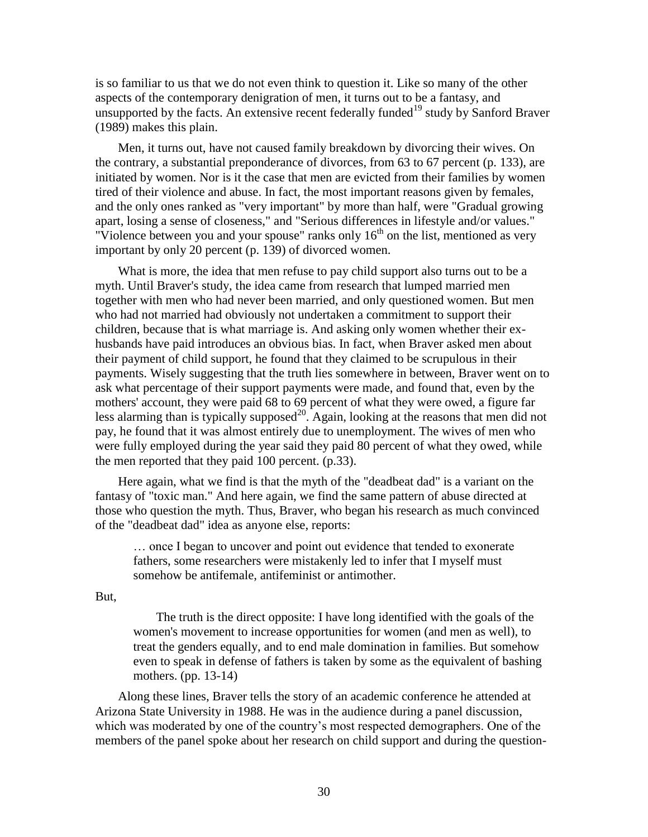is so familiar to us that we do not even think to question it. Like so many of the other aspects of the contemporary denigration of men, it turns out to be a fantasy, and unsupported by the facts. An extensive recent federally funded<sup>19</sup> study by Sanford Braver (1989) makes this plain.

Men, it turns out, have not caused family breakdown by divorcing their wives. On the contrary, a substantial preponderance of divorces, from 63 to 67 percent (p. 133), are initiated by women. Nor is it the case that men are evicted from their families by women tired of their violence and abuse. In fact, the most important reasons given by females, and the only ones ranked as "very important" by more than half, were "Gradual growing apart, losing a sense of closeness," and "Serious differences in lifestyle and/or values." "Violence between you and your spouse" ranks only  $16<sup>th</sup>$  on the list, mentioned as very important by only 20 percent (p. 139) of divorced women.

What is more, the idea that men refuse to pay child support also turns out to be a myth. Until Braver's study, the idea came from research that lumped married men together with men who had never been married, and only questioned women. But men who had not married had obviously not undertaken a commitment to support their children, because that is what marriage is. And asking only women whether their exhusbands have paid introduces an obvious bias. In fact, when Braver asked men about their payment of child support, he found that they claimed to be scrupulous in their payments. Wisely suggesting that the truth lies somewhere in between, Braver went on to ask what percentage of their support payments were made, and found that, even by the mothers' account, they were paid 68 to 69 percent of what they were owed, a figure far less alarming than is typically supposed<sup>20</sup>. Again, looking at the reasons that men did not pay, he found that it was almost entirely due to unemployment. The wives of men who were fully employed during the year said they paid 80 percent of what they owed, while the men reported that they paid 100 percent. (p.33).

Here again, what we find is that the myth of the "deadbeat dad" is a variant on the fantasy of "toxic man." And here again, we find the same pattern of abuse directed at those who question the myth. Thus, Braver, who began his research as much convinced of the "deadbeat dad" idea as anyone else, reports:

… once I began to uncover and point out evidence that tended to exonerate fathers, some researchers were mistakenly led to infer that I myself must somehow be antifemale, antifeminist or antimother.

But,

The truth is the direct opposite: I have long identified with the goals of the women's movement to increase opportunities for women (and men as well), to treat the genders equally, and to end male domination in families. But somehow even to speak in defense of fathers is taken by some as the equivalent of bashing mothers. (pp. 13-14)

Along these lines, Braver tells the story of an academic conference he attended at Arizona State University in 1988. He was in the audience during a panel discussion, which was moderated by one of the country's most respected demographers. One of the members of the panel spoke about her research on child support and during the question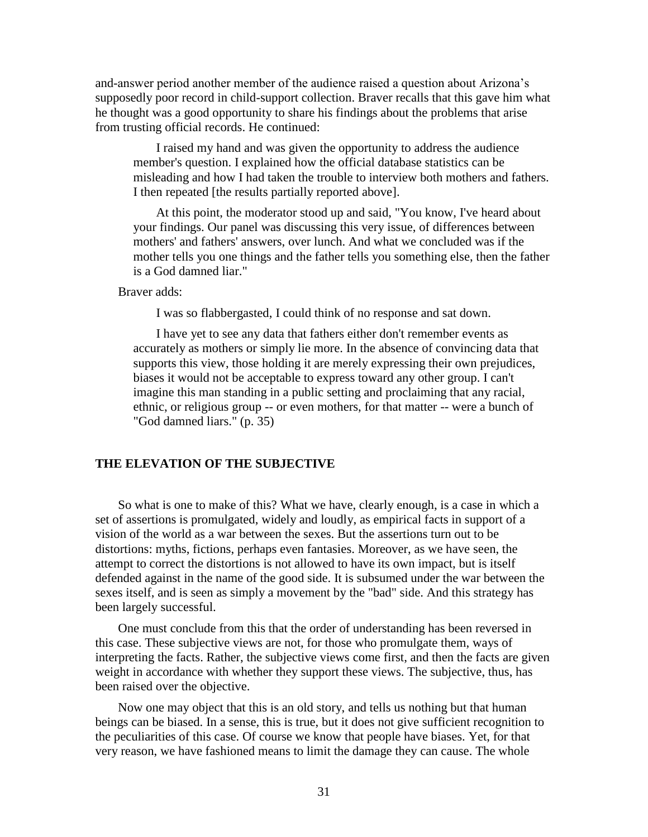and-answer period another member of the audience raised a question about Arizona's supposedly poor record in child-support collection. Braver recalls that this gave him what he thought was a good opportunity to share his findings about the problems that arise from trusting official records. He continued:

I raised my hand and was given the opportunity to address the audience member's question. I explained how the official database statistics can be misleading and how I had taken the trouble to interview both mothers and fathers. I then repeated [the results partially reported above].

At this point, the moderator stood up and said, "You know, I've heard about your findings. Our panel was discussing this very issue, of differences between mothers' and fathers' answers, over lunch. And what we concluded was if the mother tells you one things and the father tells you something else, then the father is a God damned liar."

## Braver adds:

I was so flabbergasted, I could think of no response and sat down.

I have yet to see any data that fathers either don't remember events as accurately as mothers or simply lie more. In the absence of convincing data that supports this view, those holding it are merely expressing their own prejudices, biases it would not be acceptable to express toward any other group. I can't imagine this man standing in a public setting and proclaiming that any racial, ethnic, or religious group -- or even mothers, for that matter -- were a bunch of "God damned liars." (p. 35)

### **THE ELEVATION OF THE SUBJECTIVE**

So what is one to make of this? What we have, clearly enough, is a case in which a set of assertions is promulgated, widely and loudly, as empirical facts in support of a vision of the world as a war between the sexes. But the assertions turn out to be distortions: myths, fictions, perhaps even fantasies. Moreover, as we have seen, the attempt to correct the distortions is not allowed to have its own impact, but is itself defended against in the name of the good side. It is subsumed under the war between the sexes itself, and is seen as simply a movement by the "bad" side. And this strategy has been largely successful.

One must conclude from this that the order of understanding has been reversed in this case. These subjective views are not, for those who promulgate them, ways of interpreting the facts. Rather, the subjective views come first, and then the facts are given weight in accordance with whether they support these views. The subjective, thus, has been raised over the objective.

Now one may object that this is an old story, and tells us nothing but that human beings can be biased. In a sense, this is true, but it does not give sufficient recognition to the peculiarities of this case. Of course we know that people have biases. Yet, for that very reason, we have fashioned means to limit the damage they can cause. The whole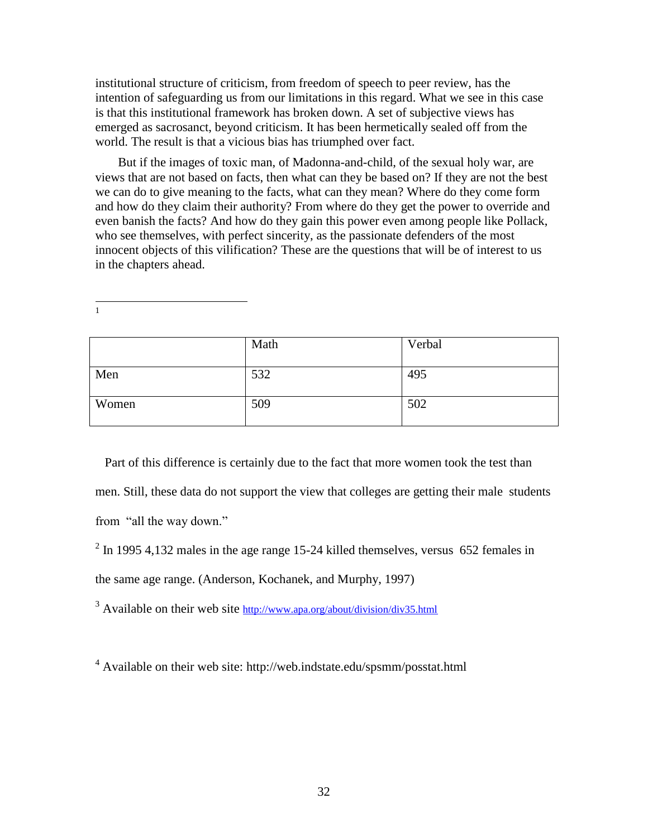institutional structure of criticism, from freedom of speech to peer review, has the intention of safeguarding us from our limitations in this regard. What we see in this case is that this institutional framework has broken down. A set of subjective views has emerged as sacrosanct, beyond criticism. It has been hermetically sealed off from the world. The result is that a vicious bias has triumphed over fact.

But if the images of toxic man, of Madonna-and-child, of the sexual holy war, are views that are not based on facts, then what can they be based on? If they are not the best we can do to give meaning to the facts, what can they mean? Where do they come form and how do they claim their authority? From where do they get the power to override and even banish the facts? And how do they gain this power even among people like Pollack, who see themselves, with perfect sincerity, as the passionate defenders of the most innocent objects of this vilification? These are the questions that will be of interest to us in the chapters ahead.

 $\frac{1}{1}$ 

|       | Math | Verbal |
|-------|------|--------|
| Men   | 532  | 495    |
| Women | 509  | 502    |

 Part of this difference is certainly due to the fact that more women took the test than men. Still, these data do not support the view that colleges are getting their male students from "all the way down."

 $2 \text{ In } 1995, 4,132 \text{ males in the age range } 15{\text -}24 \text{ killed themselves, versus } 652 \text{ females in } 100 \text{ years}$ the same age range. (Anderson, Kochanek, and Murphy, 1997)

<sup>3</sup> Available on their web site <http://www.apa.org/about/division/div35.html>

<sup>4</sup> Available on their web site:<http://web.indstate.edu/spsmm/posstat.html>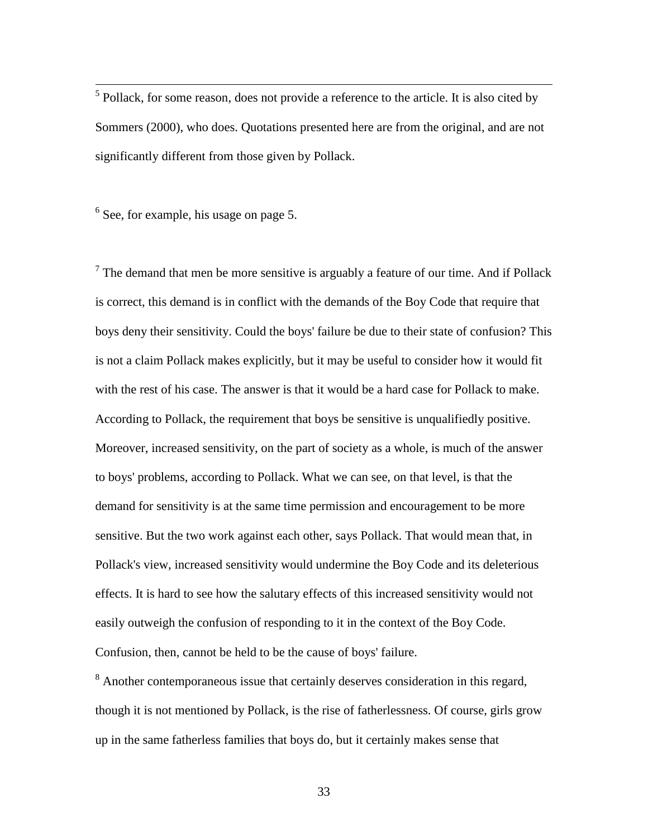<sup>5</sup> Pollack, for some reason, does not provide a reference to the article. It is also cited by Sommers (2000), who does. Quotations presented here are from the original, and are not significantly different from those given by Pollack.

<sup>6</sup> See, for example, his usage on page 5.

 $7$  The demand that men be more sensitive is arguably a feature of our time. And if Pollack is correct, this demand is in conflict with the demands of the Boy Code that require that boys deny their sensitivity. Could the boys' failure be due to their state of confusion? This is not a claim Pollack makes explicitly, but it may be useful to consider how it would fit with the rest of his case. The answer is that it would be a hard case for Pollack to make. According to Pollack, the requirement that boys be sensitive is unqualifiedly positive. Moreover, increased sensitivity, on the part of society as a whole, is much of the answer to boys' problems, according to Pollack. What we can see, on that level, is that the demand for sensitivity is at the same time permission and encouragement to be more sensitive. But the two work against each other, says Pollack. That would mean that, in Pollack's view, increased sensitivity would undermine the Boy Code and its deleterious effects. It is hard to see how the salutary effects of this increased sensitivity would not easily outweigh the confusion of responding to it in the context of the Boy Code. Confusion, then, cannot be held to be the cause of boys' failure.

<sup>8</sup> Another contemporaneous issue that certainly deserves consideration in this regard, though it is not mentioned by Pollack, is the rise of fatherlessness. Of course, girls grow up in the same fatherless families that boys do, but it certainly makes sense that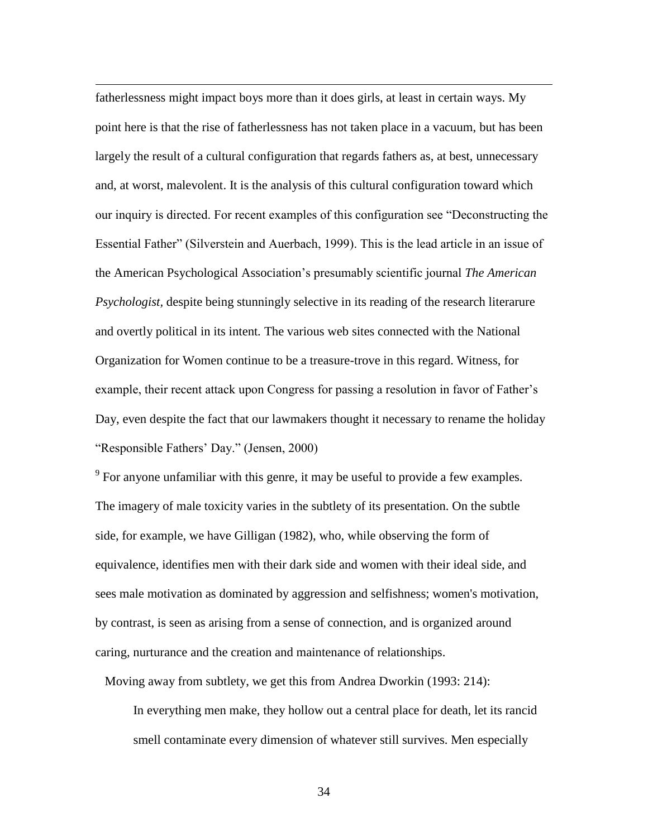fatherlessness might impact boys more than it does girls, at least in certain ways. My point here is that the rise of fatherlessness has not taken place in a vacuum, but has been largely the result of a cultural configuration that regards fathers as, at best, unnecessary and, at worst, malevolent. It is the analysis of this cultural configuration toward which our inquiry is directed. For recent examples of this configuration see "Deconstructing the Essential Father" (Silverstein and Auerbach, 1999). This is the lead article in an issue of the American Psychological Association's presumably scientific journal *The American Psychologist,* despite being stunningly selective in its reading of the research literarure and overtly political in its intent*.* The various web sites connected with the National Organization for Women continue to be a treasure-trove in this regard. Witness, for example, their recent attack upon Congress for passing a resolution in favor of Father's Day, even despite the fact that our lawmakers thought it necessary to rename the holiday "Responsible Fathers' Day." (Jensen, 2000)

 $\overline{a}$ 

 $9^9$  For anyone unfamiliar with this genre, it may be useful to provide a few examples. The imagery of male toxicity varies in the subtlety of its presentation. On the subtle side, for example, we have Gilligan (1982), who, while observing the form of equivalence, identifies men with their dark side and women with their ideal side, and sees male motivation as dominated by aggression and selfishness; women's motivation, by contrast, is seen as arising from a sense of connection, and is organized around caring, nurturance and the creation and maintenance of relationships.

Moving away from subtlety, we get this from Andrea Dworkin (1993: 214):

In everything men make, they hollow out a central place for death, let its rancid smell contaminate every dimension of whatever still survives. Men especially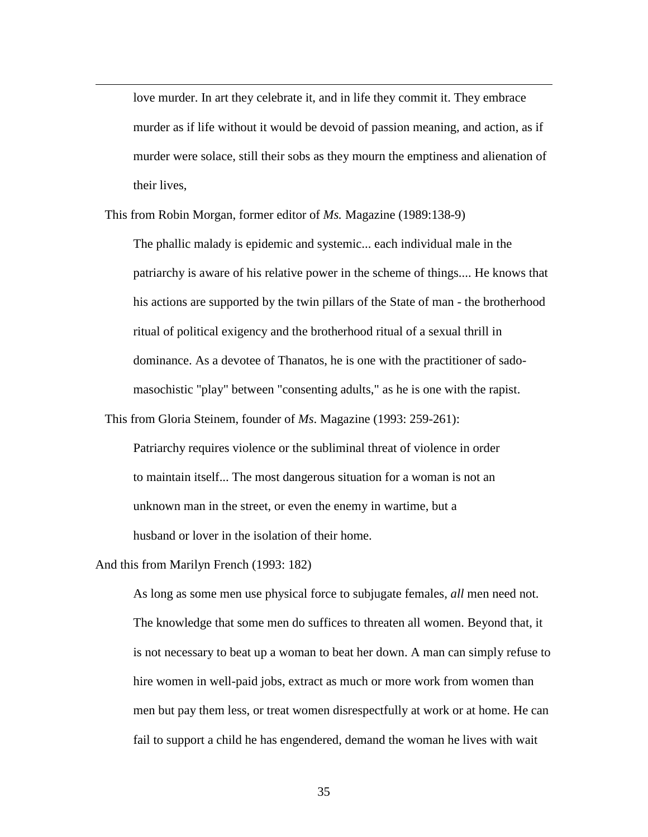love murder. In art they celebrate it, and in life they commit it. They embrace murder as if life without it would be devoid of passion meaning, and action, as if murder were solace, still their sobs as they mourn the emptiness and alienation of their lives,

This from Robin Morgan, former editor of *Ms.* Magazine (1989:138-9)

The phallic malady is epidemic and systemic... each individual male in the patriarchy is aware of his relative power in the scheme of things.... He knows that his actions are supported by the twin pillars of the State of man - the brotherhood ritual of political exigency and the brotherhood ritual of a sexual thrill in dominance. As a devotee of Thanatos, he is one with the practitioner of sadomasochistic "play" between "consenting adults," as he is one with the rapist.

This from Gloria Steinem, founder of *Ms*. Magazine (1993: 259-261):

Patriarchy requires violence or the subliminal threat of violence in order to maintain itself... The most dangerous situation for a woman is not an unknown man in the street, or even the enemy in wartime, but a husband or lover in the isolation of their home.

And this from Marilyn French (1993: 182)

 $\overline{a}$ 

As long as some men use physical force to subjugate females, *all* men need not. The knowledge that some men do suffices to threaten all women. Beyond that, it is not necessary to beat up a woman to beat her down. A man can simply refuse to hire women in well-paid jobs, extract as much or more work from women than men but pay them less, or treat women disrespectfully at work or at home. He can fail to support a child he has engendered, demand the woman he lives with wait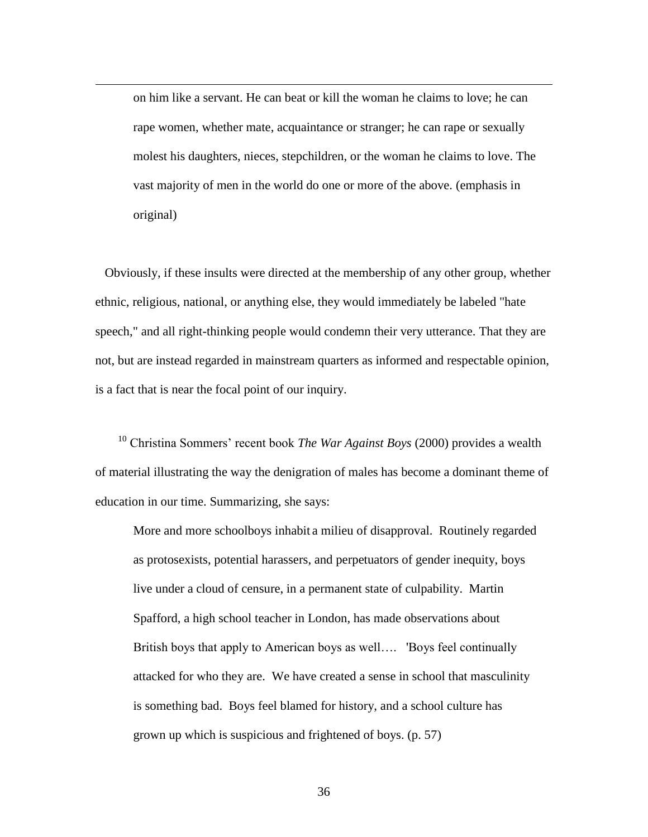on him like a servant. He can beat or kill the woman he claims to love; he can rape women, whether mate, acquaintance or stranger; he can rape or sexually molest his daughters, nieces, stepchildren, or the woman he claims to love. The vast majority of men in the world do one or more of the above. (emphasis in original)

 $\overline{a}$ 

 Obviously, if these insults were directed at the membership of any other group, whether ethnic, religious, national, or anything else, they would immediately be labeled "hate speech," and all right-thinking people would condemn their very utterance. That they are not, but are instead regarded in mainstream quarters as informed and respectable opinion, is a fact that is near the focal point of our inquiry.

<sup>10</sup> Christina Sommers' recent book *The War Against Boys* (2000) provides a wealth of material illustrating the way the denigration of males has become a dominant theme of education in our time. Summarizing, she says:

More and more schoolboys inhabit a milieu of disapproval. Routinely regarded as protosexists, potential harassers, and perpetuators of gender inequity, boys live under a cloud of censure, in a permanent state of culpability. Martin Spafford, a high school teacher in London, has made observations about British boys that apply to American boys as well…. 'Boys feel continually attacked for who they are. We have created a sense in school that masculinity is something bad. Boys feel blamed for history, and a school culture has grown up which is suspicious and frightened of boys. (p. 57)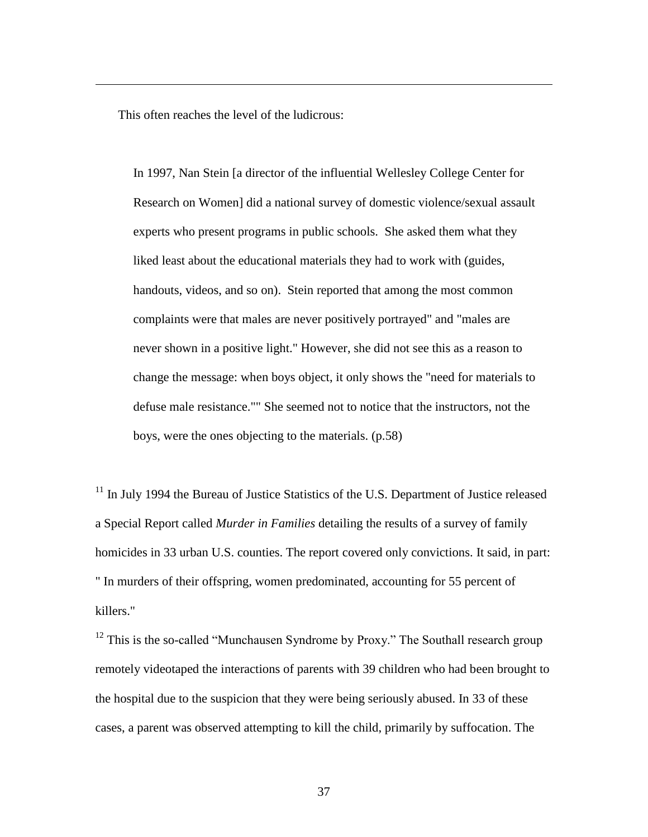This often reaches the level of the ludicrous:

 $\overline{a}$ 

In 1997, Nan Stein [a director of the influential Wellesley College Center for Research on Women] did a national survey of domestic violence/sexual assault experts who present programs in public schools. She asked them what they liked least about the educational materials they had to work with (guides, handouts, videos, and so on). Stein reported that among the most common complaints were that males are never positively portrayed" and "males are never shown in a positive light." However, she did not see this as a reason to change the message: when boys object, it only shows the "need for materials to defuse male resistance."" She seemed not to notice that the instructors, not the boys, were the ones objecting to the materials. (p.58)

 $11$  In July 1994 the Bureau of Justice Statistics of the U.S. Department of Justice released a Special Report called *Murder in Families* detailing the results of a survey of family homicides in 33 urban U.S. counties. The report covered only convictions. It said, in part: " In murders of their offspring, women predominated, accounting for 55 percent of killers."

 $12$  This is the so-called "Munchausen Syndrome by Proxy." The Southall research group remotely videotaped the interactions of parents with 39 children who had been brought to the hospital due to the suspicion that they were being seriously abused. In 33 of these cases, a parent was observed attempting to kill the child, primarily by suffocation. The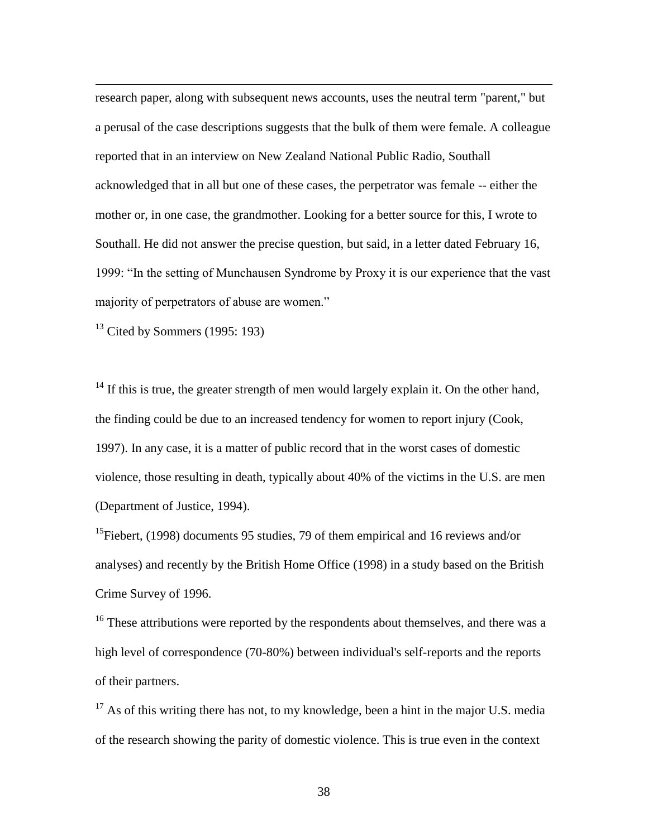research paper, along with subsequent news accounts, uses the neutral term "parent," but a perusal of the case descriptions suggests that the bulk of them were female. A colleague reported that in an interview on New Zealand National Public Radio, Southall acknowledged that in all but one of these cases, the perpetrator was female -- either the mother or, in one case, the grandmother. Looking for a better source for this, I wrote to Southall. He did not answer the precise question, but said, in a letter dated February 16, 1999: "In the setting of Munchausen Syndrome by Proxy it is our experience that the vast majority of perpetrators of abuse are women."

 $13$  Cited by Sommers (1995: 193)

 $\overline{a}$ 

 $14$  If this is true, the greater strength of men would largely explain it. On the other hand, the finding could be due to an increased tendency for women to report injury (Cook, 1997). In any case, it is a matter of public record that in the worst cases of domestic violence, those resulting in death, typically about 40% of the victims in the U.S. are men (Department of Justice, 1994).

<sup>15</sup>Fiebert, (1998) documents 95 studies, 79 of them empirical and 16 reviews and/or analyses) and recently by the British Home Office (1998) in a study based on the British Crime Survey of 1996.

 $16$ <sup>16</sup> These attributions were reported by the respondents about themselves, and there was a high level of correspondence (70-80%) between individual's self-reports and the reports of their partners.

 $17$  As of this writing there has not, to my knowledge, been a hint in the major U.S. media of the research showing the parity of domestic violence. This is true even in the context